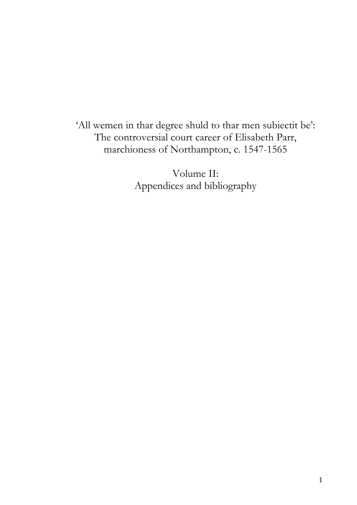'All wemen in thar degree shuld to thar men subiectit be': The controversial court career of Elisabeth Parr, marchioness of Northampton, c. 1547-1565

> Volume II: Appendices and bibliography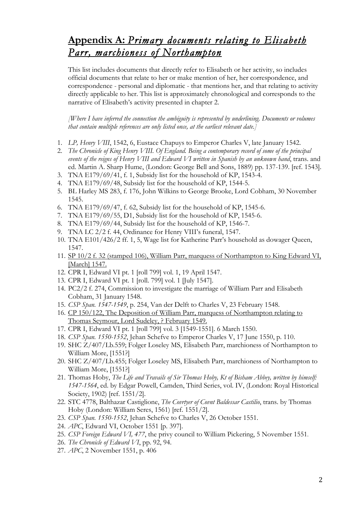## **Appendix A:** *Primary documents relating to Elisabeth Parr, marchioness of Northampton*

This list includes documents that directly refer to Elisabeth or her activity, so includes official documents that relate to her or make mention of her, her correspondence, and correspondence - personal and diplomatic - that mentions her, and that relating to activity directly applicable to her. This list is approximately chronological and corresponds to the narrative of Elisabeth's activity presented in chapter 2.

*[Where I have inferred the connection the ambiguity is represented by underlining. Documents or volumes that contain multiple references are only listed once, at the earliest relevant date.]*

- 1. *LP, Henry VIII*, 1542, 6, Eustace Chapuys to Emperor Charles V, late January 1542.
- 2. *The Chronicle of King Henry VIII. Of England. Being a contemporary record of some of the principal events of the reigns of Henry VIII and Edward VI written in Spanish by an unknown hand*, trans. and ed. Martin A. Sharp Hume, (London: George Bell and Sons, 1889) pp. 137-139. [ref. 1543].
- 3. TNA E179/69/41, f. 1, Subsidy list for the household of KP, 1543-4.
- 4. TNA E179/69/48, Subsidy list for the household of KP, 1544-5.
- 5. BL Harley MS 283, f. 176, John Wilkins to George Brooke, Lord Cobham, 30 November 1545.
- 6. TNA E179/69/47, f. 62, Subsidy list for the household of KP, 1545-6.
- 7. TNA E179/69/55, D1, Subsidy list for the household of KP, 1545-6.
- 8. TNA E179/69/44, Subsidy list for the household of KP, 1546-7.
- 9. TNA LC 2/2 f. 44, Ordinance for Henry VIII's funeral, 1547.
- 10. TNA E101/426/2 ff. 1, 5, Wage list for Katherine Parr's household as dowager Queen, 1547.
- 11. SP 10/2 f. 32 (stamped 106), William Parr, marquess of Northampton to King Edward VI, [March] 1547.
- 12. CPR I, Edward VI pt. 1 [roll 799] vol. 1, 19 April 1547.
- 13. CPR I, Edward VI pt. 1 [roll. 799] vol. 1 [July 1547].
- 14. PC2/2 f. 274, Commission to investigate the marriage of William Parr and Elisabeth Cobham, 31 January 1548.
- 15. *CSP Span. 1547-1549*, p. 254, Van der Delft to Charles V, 23 February 1548.
- 16. CP 150/122, The Deposition of William Parr, marquess of Northampton relating to Thomas Seymour, Lord Sudeley, ? February 1549.
- 17. CPR I, Edward VI pt. 1 [roll 799] vol. 3 [1549-1551]. 6 March 1550.
- 18. *CSP Span. 1550-1552*, Jehan Schefve to Emperor Charles V, 17 June 1550, p. 110.
- 19. SHC Z/407/Lb.559; Folger Loseley MS, Elisabeth Parr, marchioness of Northampton to William More, [1551?]
- 20. SHC Z/407/Lb.455; Folger Loseley MS, Elisabeth Parr, marchioness of Northampton to William More, [1551?]
- 21. Thomas Hoby, *The Life and Travails of Sir Thomas Hoby, Kt of Bisham Abbey, written by himself: 1547-1564*, ed. by Edgar Powell, Camden, Third Series, vol. IV, (London: Royal Historical Society, 1902) [ref. 1551/2].
- 22. STC 4778, Balthazar Castiglione, *The Covrtyer of Covnt Baldessar Castilio*, trans. by Thomas Hoby (London: William Seres, 1561) [ref. 1551/2].
- 23. *CSP Span. 1550-1552*, Jehan Schefve to Charles V, 26 October 1551.
- 24. *APC*, Edward VI, October 1551 [p. 397].
- 25. *CSP Foreign Edward VI, 477*, the privy council to William Pickering, 5 November 1551.
- 26. *The Chronicle of Edward VI*, pp. 92, 94.
- 27. *APC*, 2 November 1551, p. 406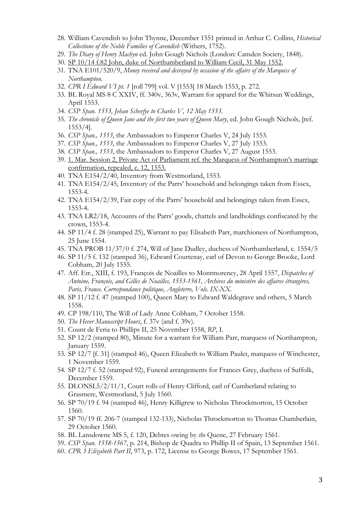- 28. William Cavendish to John Thynne, December 1551 printed in Arthur C. Collins, *Historical Collections of the Noble Families of Cavendish* (Withers, 1752).
- 29. *The Diary of Henry Machyn* ed. John Gough Nichols (London: Camden Society, 1848).
- 30. SP 10/14 f.82 John, duke of Northumberland to William Cecil, 31 May 1552.
- 31. TNA E101/520/9, *Money received and desrayed by occasion of the affairs of the Marquiss of Northampton*.
- 32. *CPR I Edward VI pt. 1* [roll 799] vol. V [1553] 18 March 1553, p. 272.
- 33. BL Royal MS 8 C XXIV, ff. 340v, 363v, Warrant for apparel for the Whitsun Weddings, April 1553.
- 34. *CSP Span. 1553, Jehan Schevfye to Charles V, 12 May 1553*.
- 35. *The chronicle of Queen Jane and the first two years of Queen Mary*, ed. John Gough Nichols, [ref. 1553/4].
- 36. *CSP Span., 1553*, the Ambassadors to Emperor Charles V, 24 July 1553.
- 37. *CSP Span., 1553*, the Ambassadors to Emperor Charles V, 27 July 1553.
- 38. *CSP Span., 1553*, the Ambassadors to Emperor Charles V, 27 August 1553.
- 39. 1. Mar. Session 2, Private Act of Parliament ref. the Marquess of Northampton's marriage confirmation, repealed, c. 12, 1553.
- 40. TNA E154/2/40, Inventory from Westmorland, 1553.
- 41. TNA E154/2/45, Inventory of the Parrs' household and belongings taken from Essex, 1553-4.
- 42. TNA E154/2/39, Fair copy of the Parrs' household and belongings taken from Essex, 1553-4.
- 43. TNA LR2/18, Accounts of the Parrs' goods, chattels and landholdings confiscated by the crown, 1553-4.
- 44. SP 11/4 f. 28 (stamped 25), Warrant to pay Elisabeth Parr, marchioness of Northampton, 25 June 1554.
- 45. TNA PROB 11/37/0 f. 274, Will of Jane Dudley, duchess of Northumberland, c. 1554/5
- 46. SP 11/5 f. 132 (stamped 36), Edward Courtenay, earl of Devon to George Brooke, Lord Cobham, 20 July 1555.
- 47. Aff. Etr., XIII, f. 193, François de Noailles to Montmorency, 28 April 1557, *Dispatches of Antoine, François, and Gilles de Noailles, 1553-1561, Archives du ministère des affaires étrangères, Paris, France. Correspondance politique, Angleterre, Vols. IX-XX.*
- 48. SP 11/12 f. 47 (stamped 100), Queen Mary to Edward Waldegrave and others, 5 March 1558.
- 49. CP 198/110, The Will of Lady Anne Cobham, 7 October 1558.
- 50. *The Hever Manuscript Hours*, f. 37v (and f. 39v).
- 51. Count de Feria to Phillips II, 25 November 1558, *RP*, I.
- 52. SP 12/2 (stamped 80), Minute for a warrant for William Parr, marquess of Northampton, January 1559.
- 53. SP 12/7 [f. 31] (stamped 46), Queen Elizabeth to William Paulet, marquess of Winchester, 1 November 1559.
- 54. SP 12/7 f. 52 (stamped 92), Funeral arrangements for Frances Grey, duchess of Suffolk, December 1559.
- 55. DLONSL5/2/11/1, Court rolls of Henry Clifford, earl of Cumberland relating to Grasmere, Westmorland, 5 July 1560.
- 56. SP 70/19 f. 94 (stamped 46), Henry Killigrew to Nicholas Throckmorton, 15 October 1560.
- 57. SP 70/19 ff. 206-7 (stamped 132-133), Nicholas Throckmorton to Thomas Chamberlain, 29 October 1560.
- 58. BL Lansdowne MS 5, f. 120, Debtes owing by *the* Quene, 27 February 1561.
- 59. *CSP Span. 1558-1567*, p. 214, Bishop de Quadra to Phillip II of Spain, 13 September 1561*.*
- 60. *CPR 3 Elizabeth Part II*, 973, p. 172, License to George Bowes, 17 September 1561.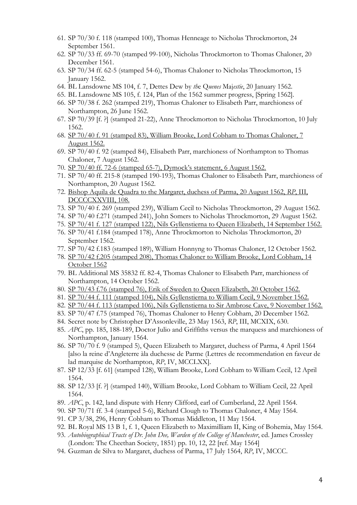- 61. SP 70/30 f. 118 (stamped 100), Thomas Henneage to Nicholas Throckmorton, 24 September 1561.
- 62. SP 70/33 ff. 69-70 (stamped 99-100), Nicholas Throckmorton to Thomas Chaloner, 20 December 1561.
- 63. SP 70/34 ff. 62-5 (stamped 54-6), Thomas Chaloner to Nicholas Throckmorton, 15 January 1562.
- 64. BL Lansdowne MS 104, f. 7, Dettes Dew by *th*e Q*uenes* Maj*estie*, 20 January 1562.
- 65. BL Lansdowne MS 105, f. 124, Plan of the 1562 summer progress, [Spring 1562].
- 66. SP 70/38 f. 262 (stamped 219), Thomas Chaloner to Elisabeth Parr, marchioness of Northampton, 26 June 1562.
- 67. SP 70/39 [f. ?] (stamped 21-22), Anne Throckmorton to Nicholas Throckmorton, 10 July 1562.
- 68. SP 70/40 f. 91 (stamped 83), William Brooke, Lord Cobham to Thomas Chaloner, 7 August 1562.
- 69. SP 70/40 f. 92 (stamped 84), Elisabeth Parr, marchioness of Northampton to Thomas Chaloner, 7 August 1562.
- 70. SP 70/40 ff. 72-6 (stamped 65-7), Dymock's statement, 6 August 1562.
- 71. SP 70/40 ff. 215-8 (stamped 190-193), Thomas Chaloner to Elisabeth Parr, marchioness of Northampton, 20 August 1562.
- 72. Bishop Aquila de Quadra to the Margaret, duchess of Parma, 20 August 1562, *RP*, III, DCCCCXXVIII, 108.
- 73. SP 70/40 f. 269 (stamped 239), William Cecil to Nicholas Throckmorton, 29 August 1562.
- 74. SP 70/40 f.271 (stamped 241), John Somers to Nicholas Throckmorton, 29 August 1562.
- 75. SP 70/41 f. 127 (stamped 122), Nils Gyllenstierna to Queen Elizabeth, 14 September 1562.
- 76. SP 70/41 f.184 (stamped 178), Anne Throckmorton to Nicholas Throckmorton, 20 September 1562.
- 77. SP 70/42 f.183 (stamped 189), William Honnyng to Thomas Chaloner, 12 October 1562.
- 78. SP 70/42 f.205 (stamped 208), Thomas Chaloner to William Brooke, Lord Cobham, 14 October 1562
- 79. BL Additional MS 35832 ff. 82-4, Thomas Chaloner to Elisabeth Parr, marchioness of Northampton, 14 October 1562.
- 80. SP 70/43 f.76 (stamped 76), Erik of Sweden to Queen Elizabeth, 20 October 1562.
- 81. SP 70/44 f. 111 (stamped 104), Nils Gyllenstierna to William Cecil, 9 November 1562.
- 82. SP 70/44 f. 113 (stamped 106), Nils Gyllenstierna to Sir Ambrose Cave, 9 November 1562.
- 83. SP 70/47 f.75 (stamped 76), Thomas Chaloner to Henry Cobham, 20 December 1562.
- 84. Secret note by Christopher D'Assonleville, 23 May 1563, *RP*, III, MCXIX, 630.
- 85. *APC*, pp. 185, 188-189, Doctor Julio and Griffiths versus the marquess and marchioness of Northampton, January 1564.
- 86. SP 70/70 f. 9 (stamped 5), Queen Elizabeth to Margaret, duchess of Parma, 4 April 1564 [also la reine d'Angleterre àla duchesse de Parme (Lettres de recommendation en faveur de lad marquise de Northampton, *RP*, IV, MCCLXX].
- 87. SP 12/33 [f. 61] (stamped 128), William Brooke, Lord Cobham to William Cecil, 12 April 1564.
- 88. SP 12/33 [f. ?] (stamped 140), William Brooke, Lord Cobham to William Cecil, 22 April 1564.
- 89. *APC*, p. 142, land dispute with Henry Clifford, earl of Cumberland, 22 April 1564.
- 90. SP 70/71 ff. 3-4 (stamped 5-6), Richard Clough to Thomas Chaloner, 4 May 1564.
- 91. CP 3/38, 296, Henry Cobham to Thomas Middleton, 11 May 1564.
- 92. BL Royal MS 13 B 1, f. 1, Queen Elizabeth to Maximilliam II, King of Bohemia, May 1564.
- 93. *Autobiographical Tracts of Dr. John Dee, Warden of the College of Manchester*, ed. James Crossley (London: The Cheethan Society, 1851) pp. 10, 12, 22 [ref. May 1564]
- 94. Guzman de Silva to Margaret, duchess of Parma, 17 July 1564, *RP*, IV, MCCC.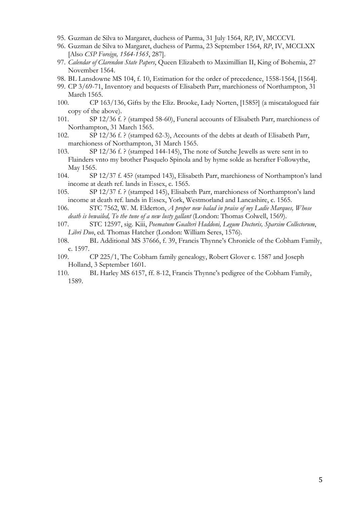- 95. Guzman de Silva to Margaret, duchess of Parma, 31 July 1564, *RP*, IV, MCCCVI.
- 96. Guzman de Silva to Margaret, duchess of Parma, 23 September 1564, *RP*, IV, MCCLXX [Also *CSP Foreign, 1564-1565*, 287].
- 97. *Calendar of Clarendon State Papers*, Queen Elizabeth to Maximillian II, King of Bohemia, 27 November 1564.
- 98. BL Lansdowne MS 104, f. 10, Estimation for the order of precedence, 1558-1564, [1564].
- 99. CP 3/69-71, Inventory and bequests of Elisabeth Parr, marchioness of Northampton, 31 March 1565.
- 100. CP 163/136, Gifts by the Eliz. Brooke, Lady Norten, [1585?] (a miscatalogued fair copy of the above).
- 101. SP 12/36 f. ? (stamped 58-60), Funeral accounts of Elisabeth Parr, marchioness of Northampton, 31 March 1565.
- 102. SP 12/36 f. ? (stamped 62-3), Accounts of the debts at death of Elisabeth Parr, marchioness of Northampton, 31 March 1565.
- 103. SP 12/36 f. ? (stamped 144-145), The note of Sutche Jewells as were sent in to Flainders vnto my brother Pasquelo Spinola and by hyme solde as herafter Followythe, May 1565.
- 104. SP 12/37 f. 45? (stamped 143), Elisabeth Parr, marchioness of Northampton's land income at death ref. lands in Essex, c. 1565.
- 105. SP 12/37 f. ? (stamped 145), Elisabeth Parr, marchioness of Northampton's land income at death ref. lands in Essex, York, Westmorland and Lancashire, c. 1565.
- 106. STC 7562, W. M. Elderton, *A proper new balad in praise of my Ladie Marques, Whose death is bewailed, To the tune of a new lusty gallant* (London: Thomas Colwell, 1569).
- 107. STC 12597, sig. Kiii, *Poematum Gualteri Haddoni, Legum Doctoris, Sparsim Collectorum*, *Libri Duo*, ed. Thomas Hatcher (London: William Seres, 1576).
- 108. BL Additional MS 37666, f. 39, Francis Thynne's Chronicle of the Cobham Family, c. 1597.
- 109. CP 225/1, The Cobham family genealogy, Robert Glover c. 1587 and Joseph Holland, 3 September 1601.
- 110. BL Harley MS 6157, ff. 8-12, Francis Thynne's pedigree of the Cobham Family, 1589.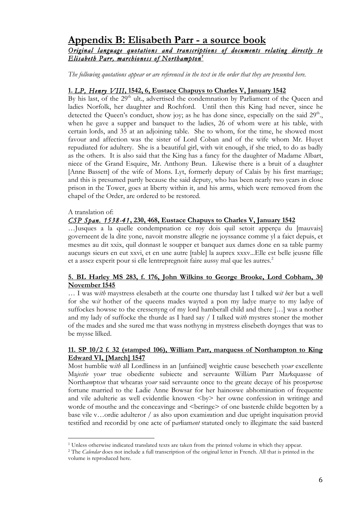## **Appendix B: Elisabeth Parr - a source book**

## *Original language quotations and transcriptions of documents relating directly to Elisabeth Parr, marchioness of Northampton <sup>1</sup>*

*The following quotations appear or are referenced in the text in the order that they are presented here.*

## **1.** *LP, Henry VIII***, 1542, 6, Eustace Chapuys to Charles V, January 1542**

By his last, of the  $29<sup>th</sup>$  ult., advertised the condemnation by Parliament of the Queen and ladies Norfolk, her daughter and Rochford. Until then this King had never, since he detected the Queen's conduct, show joy; as he has done since, especially on the said 29<sup>th</sup>., when he gave a supper and banquet to the ladies, 26 of whom were at his table, with certain lords, and 35 at an adjoining table. She to whom, for the time, he showed most favour and affection was the sister of Lord Coban and of the wife whom Mr. Huyet repudiated for adultery. She is a beautiful girl, with wit enough, if she tried, to do as badly as the others. It is also said that the King has a fancy for the daughter of Madame Albart, niece of the Grand Esquire, Mr. Anthony Brun. Likewise there is a bruit of a daughter [Anne Bassett] of the wife of Mons. Lyt, formerly deputy of Calais by his first marriage; and this is presumed partly because the said deputy, who has been nearly two years in close prison in the Tower, goes at liberty within it, and his arms, which were removed from the chapel of the Order, are ordered to be restored.

#### A translation of:

<u>.</u>

## *CSP Span. 1538-41***, 230, 468, Eustace Chapuys to Charles V, January 1542**

…Jusques a la quelle condempnation ce roy dois quil setoit apperçu du [mauvais] governeent de la dite yone, navoit monstre allegrie ne joyssance comme yl a faict depuis, et mesmes au dit xxix, quil donnast le soupper et banquet aux dames done en sa table parmy aucungs sieurs en eut xxvi, et en une autre [table] la auprex xxxv...Elle est belle jeusne fille et a assez experit pour si elle lentrepregnoit faire aussy mal que les autres.<sup>2</sup>

#### **5. BL Harley MS 283, f. 176, John Wilkins to George Brooke, Lord Cobham, 30 November 1545**

… I was w*ith* maystress elesabeth at the courte one thursday last I talked w*it h*er but a well for she w*it* hother of the queens mades wayted a pon my ladye marye to my ladye of suffockes howsse to the cressenyng of my lord hamberall child and there […] was a nother and my lady of suffocke the thurde as I hard say / I talked w*ith* mystres stoner the mother of the mades and she sured me that wass nothyng in mystress elisebeth doynges that was to be mysse lilked.

#### **11. SP 10/2 f. 32 (stamped 106), William Parr, marquess of Northampton to King Edward VI, [March] 1547**

Most humblie w*ith* all Lordliness in an [unfained] weightie cause besecheth yo*ur* excellente Ma*jestie* yo*ur* true obediente subiecte and servaunte Will*ia*m Parr Ma*r*kquasse of North*am*pto*n* that whearas yo*ur* said servaunte once to the greate decaye of his prosp*er*ose fortune married to the Ladie Anne Bowsar for her hainoswe abhomination of frequente and vile adulterie as well evidentlie knowen  $\langle bv \rangle$  her owne confession in writinge and worde of mouthe and the conceavinge and  $\leq$  beringe $\geq$  of one basterde childe begotten by a base vile v…ordie adulteror / as also upon exami*n*ation and due upright inquisation provid testified and recordid by one acte of p*ar*liam*ent* statuted onely to illegimate the said basterd

<sup>1</sup> Unless otherwise indicated translated texts are taken from the printed volume in which they appear.

<sup>2</sup> The *Calendar* does not include a full transcription of the original letter in French. All that is printed in the volume is reproduced here.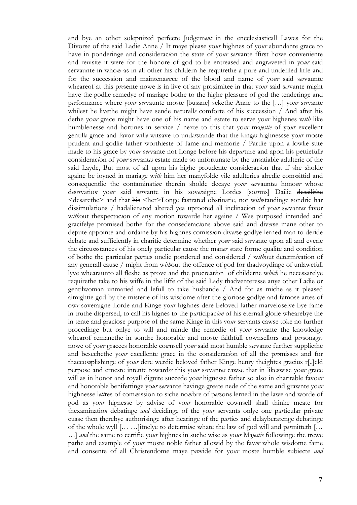and bye an other solepnized perfecte Judgem*ent* in the encclesiasticall Lawes for the Divorse of the said Ladie Anne / It maye please yo*ur* highnes of yo*ur* abundante grace to have in ponderinge and considerac*i*on the state of yo*ur* s*er*vante ffirst howe conveniente and reuisite it were for the honore of god to be entreased and angr*a*veted in yo*ur* said servaunte in who*m* as in all other his childern he requirethe a pure and undefiled liffe and for the succession and maintena*un*ce of the blood and name of yo*ur* said s*er*vaunte wheareof at this p*re*sente nowe is in live of any proximitee in that yo*ur* said s*er*vante might have the godlie remedye of mariage bothe to the highe pleasure of god the tenderinge and p*er*formance where yo*ur* s*er*vaunte moste [busane] sekethe Anne to the […] yo*ur* s*er*vante whilest he livethe might have sende naturall*e* comforte of his succession / And after his dethe yo*ur* grace might have one of his name and estate to serve yo*ur* highenes w*ith* like humblenesse and hortines in service / nexte to this that yo*ur* ma*jestie* of yo*ur* excellent gentill*e* grace and favor will*e* witsave to und*er*stande that the king*es* highnessse yo*ur* moste prudent and godlie father worthieste of fame and memorie / Partlie upon a lowlie sute made to his grace by yo*ur* s*er*vante not Longe before his dep*ar*ture and apon his pettiefull*e* considerac*i*on of yo*ur* s*er*vant*es* estate made so unfortunate by the unsatiable adulterie of the said Layde, But most of all upon his highe proudente considerac*i*on that if she sholde againe be ioyned in mariage w*ith* him her manyfolde vile adulteries alredie com*m*ittid and consequentlie the contaminati*on* therein sholde decaye yo*ur* s*er*vaunt*es* hono*ur* whose d*e*s*er*vatio*n* yo*ur* said s*er*vante in his sov*er*aigne Lordes [so*er*ms] Dailie desailithe <desarethe> and that his <her>Longe fastrated obstinatie, not with standinge sondrie har dissimulations / hadalienated altered yea uprooted all inclinacion of yo*ur* s*er*vant*es* favor without thexpectacion of any motion towarde her againe / Was purposed intended and gracifelye promised bothe for the consederac*i*ons above said and div*er*se mane other to depute appointe and ordaine by his highnes comiss*i*on div*er*se godlye lerned man to deride debate and sufficiently in charitie determine whether yo*ur* said s*er*vante upon all and everie the circu*m*stances of his onely particular cause the man*er* state forme qualite and condition of bothe the particular p*ar*ties onelie pondered and considered / w*ith*out determ*in*ation of any generall cause / might from w*ith*out the offence of god for thadvoydinge of unlawefull lyve whearaunto all fleshe as prove and the procreat*i*on of childerne w*hich* he necessarelye requirethe take to his wiffe in the liffe of the said Lady thadventeresse anye other Ladie or gentilwoman unmaried and lefull to take husbande / And for as miche as it pleased almightie god by the misterie of his wisdome after the gloriose godlye and famose artes of ow*r* soveraigne Lorde and Kinge yo*ur* highnes dere beloved father marveloselye bye fame in truthe dispersed, to call his hignes to the p*ar*ticipac*ion* of his eternall glorie whearebye the in tente and graciose purpose of the same Kinge in this yo*ur* servants cawse toke no further procedinge but onlye to will and minde the remedie of yo*ur* s*er*vante the knowledge whearof remanethe in sondre honorable and moste faithfull cownsellors and p*er*sonag*es* nowe of yo*ur* gracees honorable co*w*nsell yo*ur* said most humble s*er*vante further suppliethe and besechethe yo*ur* excellente grace in the considerac*i*on of all the p*ro*misses and for thacco*m*plishinge of yo*ur* dere werdie beloved father Kinge henry theightes gracius r[..]eld perpose and erneste intente toward*es* this yo*ur* s*er*vant*es* cawse that in likeswise yo*ur* grace will as in honor and royall dignite succede yo*ur* hignesse father so also in charitable favo*ur* and honorable benifettinge yo*ur* s*er*vante havinge greate nede of the same and grawnte yo*ur* highnesse l*ett*res of com*m*ission to siche no*m*bre of p*er*sons lerned in the lawe and worde of god as yo*ur* hignesse by advise of yo*ur* honorable cownsell shall thinke meate for thexaminatio*n* debatinge *and* decidinge of the yo*ur* servants onlye one p*ar*ticular private cuase then therebye authorisinge after hearinge of the p*ar*ties and delayberatenge debatinge of the whole wyll [… …]itnelye to determi*n*e whate the law of god will and p*er*mitteth [… …] *and* the same to certifie yo*ur* highnes in suche wise as yo*ur* Ma*jestie* followinge the trewe pathe and example of yo*ur* moste noble father allowid by the fav*or* whole wisdome fame and consente of all Christendome maye p*ro*vide for yo*ur* moste humble subiecte *and*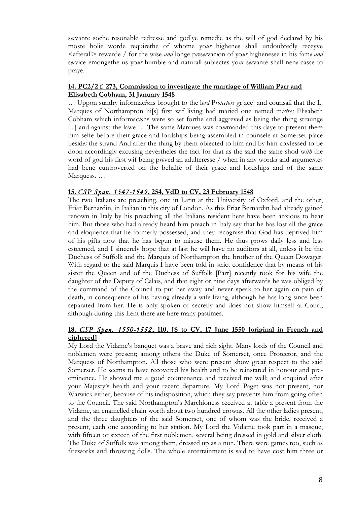s*er*vante soche resonable redresse and godlye remedie as the will of god declar*e*d by his moste holie worde requirethe of whome yo*ur* highenes shall undoubtedly receyve <afterall> rewarde / for the w*i*se *and* longe p*re*s*er*vac*i*on of yo*ur* highenesse in his fam*e and* s*er*vice emongethe us yo*ur* humble and naturall subiectes yo*ur* s*er*vante shall nen*e* casse to praye.

#### **14. PC2/2 f. 273, Commission to investigate the marriage of William Parr and Elisabeth Cobham, 31 January 1548**

… Uppon sundry informac*io*ns brought to the l*ord* P*rotectors* gr[ace] and counsail that the L. Marques of Northampton hi[s] first wif living had maried one named m*istres* Elisabeth Cobham which informac*io*ns were so set forthe and aggreved as being the thing straunge [...] and against the lawe ... The same Marques was commanded this daye to present them him selfe before their grace and lordships being assembled in counsele at Somerset place besid*es* the strand And after the thing by them obiected to him and by him co*n*fessed to be doon accordingly excusing nevertheles the fact for that as the said the same shod w*ith* the word of god his first wif being p*ro*ved an adulteresse / when in any word*es* and argume*n*tes had bene cuntroverted on the behalfe of their grace and lordships and of the same Marquess. …

#### **15.** *CSP Span. 1547-1549***, 254, VdD to CV, 23 February 1548**

The two Italians are preaching, one in Latin at the University of Oxford, and the other, Friar Bernardin, in Italian in this city of London. As this Friar Bernardin had already gained renown in Italy by his preaching all the Italians resident here have been anxious to hear him. But those who had already heard him preach in Italy say that he has lost all the grace and eloquence that he formerly possessed, and they recognise that God has deprived him of his gifts now that he has begun to misuse them. He thus grows daily less and less esteemed, and I sincerely hope that at last he will have no auditors at all, unless it be the Duchess of Suffolk and the Marquis of Northampton the brother of the Queen Dowager. With regard to the said Marquis I have been told in strict confidence that by means of his sister the Queen and of the Duchess of Suffolk [Parr] recently took for his wife the daughter of the Deputy of Calais, and that eight or nine days afterwards he was obliged by the command of the Council to put her away and never speak to her again on pain of death, in consequence of his having already a wife living, although he has long since been separated from her. He is only spoken of secretly and does not show himself at Court, although during this Lent there are here many pastimes.

#### **18.** *CSP Span. 1550-1552***, 110, JS to CV, 17 June 1550 [original in French and ciphered]**

My Lord the Vidame's banquet was a brave and rich sight. Many lords of the Council and noblemen were present; among others the Duke of Somerset, once Protector, and the Marquess of Northampton. All those who were present show great respect to the said Somerset. He seems to have recovered his health and to be reinstated in honour and preeminence. He showed me a good countenance and received me well; and enquired after your Majesty's health and your recent departure. My Lord Paget was not present, nor Warwick either, because of his indisposition, which they say prevents him from going often to the Council. The said Northampton's Marchioness received at table a present from the Vidame, an enamelled chain worth about two hundred crowns. All the other ladies present, and the three daughters of the said Somerset, one of whom was the bride, received a present, each one according to her station. My Lord the Vidame took part in a masque, with fifteen or sixteen of the first noblemen, several being dressed in gold and silver cloth. The Duke of Suffolk was among them, dressed up as a nun. There were games too, such as fireworks and throwing dolls. The whole entertainment is said to have cost him three or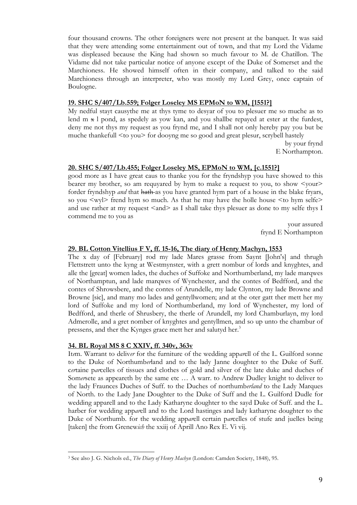four thousand crowns. The other foreigners were not present at the banquet. It was said that they were attending some entertainment out of town, and that my Lord the Vidame was displeased because the King had shown so much favour to M. de Chatillon. The Vidame did not take particular notice of anyone except of the Duke of Somerset and the Marchioness. He showed himself often in their company, and talked to the said Marchioness through an interpreter, who was mostly my Lord Grey, once captain of Boulogne.

#### **19. SHC S/407/Lb.559; Folger Loseley MS EPMoN to WM, [1551?]**

My nedful stayt causythe me at thys tyme to desyar of you to plesuer me so muche as to lend  $m \times 1$  pond, as spedely as yow kan, and you shallbe repayed at ester at the furdest, deny me not thys my request as you frynd me, and I shall not only hereby pay you but be muche thankefull <to you> for dooyng me so good and great plesur, scrybell hastely

> by your frynd E Northampton.

#### **20. SHC S/407/Lb.455; Folger Loseley MS, EPMoN to WM, [c.1551?]**

good more as I have great caus to thanke you for the fryndshyp you have showed to this bearer my brother, so am requyared by hym to make a request to you, to show <your> forder fryndshyp *and* that hath as you have granted hym part of a house in the blake fryars, so you  $\langle w \rangle$  frend hym so much. As that he may have the holle house  $\langle \rangle$  to hym selfe and use rather at my request  $\langle$  and $\rangle$  as I shall take thys plesuer as done to my selfe thys I commend me to you as

> your assured frynd E Northampton

#### **29. BL Cotton Vitellius F V, ff. 15-16, The diary of Henry Machyn, 1553**

The x day of [February] rod my lade Mares grasse from Saynt [John's] and thrugh Flettstrett unto the kyng at Westmynster, with a grett nombur of lords and knyghtes, and alle the [great] women lades, the duches of Suffoke and Northumberland, my lade marqwes of Northamptun, and lade marqwes of Wynchester, and the contes of Bedfford, and the contes of Shrowsbere, and the contes of Arundelle, my lade Clynton, my lade Browne and Browne [sic], and many mo lades and gentyllwomen; and at the oter gatt ther mett her my lord of Suffoke and my lord of Northumberland, my lord of Wynchester, my lord of Bedfford, and therle of Shrusbery, the therle of Arundell, my lord Chamburlayn, my lord Admerolle, and a gret nomber of knyghtes and gentyllmen, and so up unto the chambur of pressens, and ther the Kynges grace mett her and salutyd her.<sup>3</sup>

#### **34. BL Royal MS 8 C XXIV, ff. 340v, 363v**

It*e*m. Warrant to deliv*er* for the furniture of the wedding app*ar*ell of the L. Guilford sonne to the Duke of Northumb*er*land and to the lady Janne doughter to the Duke of Suff. c*er*taine p*ar*celles of tissues and clothes of gold and silver of the late duke and duches of Som*er*sete as appeareth by the same etc … A warr. to Andrew Dudley knight to deliver to the lady Fraunces Duches of Suff. to the Duches of northumb*erland* to the Lady Marques of North. to the Lady Jane Doughter to the Duke of Suff and the L. Guilford Dudle for wedding apparell and to the Lady Katharyne doughter to the sayd Duke of Suff. and the L. harber for wedding app*ar*ell and to the Lord hastinges and lady katharyne doughter to the Duke of Northumb. for the wedding app*ar*ell certain p*ar*celles of stufe and juelles being [taken] the from Grenew*ich* the xxiij of Aprill Ano Rex E. Vi vij.

<sup>&</sup>lt;u>.</u> 3 See also J. G. Nichols ed., *The Diary of Henry Machyn* (London: Camden Society, 1848), 95.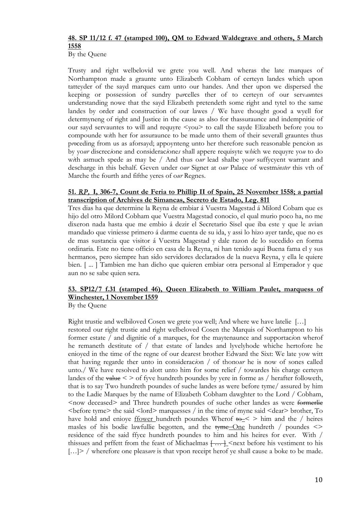## **48. SP 11/12 f. 47 (stamped 100), QM to Edward Waldegrave and others, 5 March 1558**

By the Quene

Trusty and right welbelovid we grete you well. And wheras the late marques of Northampton made a graunte unto Elizabeth Cobham of certeyn landes which upon tatteyder of the sayd marques cam unto our handes. And ther upon we dispersed the keeping or possession of sundry p*ar*celles ther of to certeyn of our serv*au*ntes understanding nowe that the sayd Elizabeth pretendeth some right and tytel to the same landes by order and construction of our lawes / We have thought good a wyell for determyneng of right and Justice in the cause as also for thassuraunce and indempnitie of our sayd servauntes to will and requyre <you> to call the sayde Elizabeth before you to compounde w*i*th her for assuraunce to be made unto them of their severall grauntes thus p*ro*ceding from us as aforsayd; appoynteng unto her therefore such reasonable penc*i*on as by yo*ur* discrec*i*one and considerac*i*one*s* shall appere requisyte w*hi*ch we requyre yo*u* to do w*i*th asmuch spede as may be / And thus o*ur* lead shalbe yo*ur* suffycyent warrant and descharge in this behalf. Geven under o*ur* Signet at o*ur* Palace of westm*inster* this vth of Marche the fourth and fifthe yeres of o*ur* Regnes.

#### **51.** *RP,* **I, 306-7, Count de Feria to Phillip II of Spain, 25 November 1558; a partial transcription of Archives de Simancas, Secreto de Estado, Leg. 811**

Tres dias ha que determine la Reyna de embiar á Vuestra Magestad á Milord Cobam que es hijo del otro Milord Cobham que Vuestra Magestad conocio, el qual murio poco ha, no me dixeron nada hasta que me embio á dezir el Secretario Sisel que iba este y que le avian mandado que viniesse primero á darme cuenta de su ida, y assi lo hizo ayer tarde, que no es de mas sustancia que visitor á Vuestra Magestad y dale razon de lo sucedido en forma ordinaria. Este no tiene officio en casa de la Reyna, ni han tenido aqui Buena fama el y sus hermanos, pero siempre han sido servidores declarados de la nueva Reyna, y ella le quiere bien. [ ... ] Tambien me han dicho que quieren embiar otra personal al Emperador y que aun no se sabe quien sera.

## **53. SP12/7 f.31 (stamped 46), Queen Elizabeth to William Paulet, marquess of Winchester, 1 November 1559**

By the Quene

Right trustie and welbiloved Cosen we grete yo*u* well; And where we have latelie […] restored our right trustie and right welbeloved Cosen the Marquis of Northampton to his former estate / and dignitie of a marques, for the maytenaunce and supportac*i*on wherof he remaneth destitute of / that estate of landes and lyvelyhode whiche hertofore he enioyed in the time of the regne of our dearest brother Edward the Sixt: We late yow witt that having regarde ther unto in considerac*i*on / of thono*ur* he is now of sones called unto./ We have resolved to alott unto him for some relief / towardes his charge certeyn landes of the value  $\leq$  > of fyve hundreth poundes by yere in forme as / herafter followeth, that is to say Two hundreth poundes of suche landes as were before tyme/ assured by him to the Ladie Marques by the name of Elizabeth Cobham dawghter to the Lord / Cobham, <now deceased> and Three hundreth poundes of suche other landes as were formerlie  $\leq$  before tyme $>$  the said  $\leq$  lord $>$  marquesses / in the time of myne said  $\leq$  dear $>$  brother, To have hold and eniove frower hundreth poundes Wherof  $t\rightarrow \infty$  him and the / heires masles of his bodie lawfullie begotten, and the  $t$ yme-One hundreth / poundes  $\leq$ residence of the said ffyce hundreth poundes to him and his heires for ever. With / thissues and prffett from the feast of Michaelmas  $\left\{\ldots, \cdot\right\}$  <next before his vestiment to his [...] > / wherefore one pleas*ure* is that vpon receipt herof ye shall cause a boke to be made.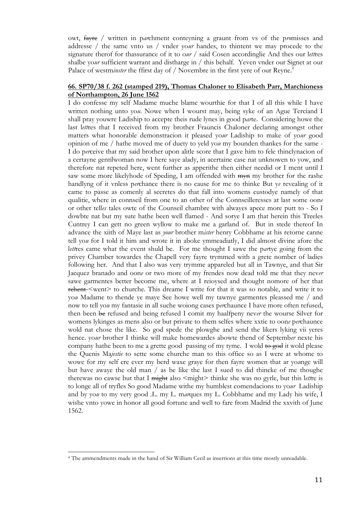owt, fayre / written in p*ar*chment conteyning a graunt from vs of the p*ro*misses and addresse / the same vnto us / vnder yo*ur* handes, to thintent we may procede to the signature therof for thassurance of it to o*ur* / said Cosen accordinglie And thes our l*ett*res shalbe yo*ur* sufficient warrant and distharge in / this behalf. Yeven vnder our Signet at our Palace of westminster the ffirst day of / Novembre in the first yere of our Reyne.<sup>4</sup>

#### **66. SP70/38 f. 262 (stamped 219), Thomas Chaloner to Elisabeth Parr, Marchioness of Northampton, 26 June 1562**

I do confesse my self Madame muche blame wourthie for that I of all this while I have written nothing unto yo*u*. Nowe when I wourst may, being syke of an Ague Terciand I shall pray youwre Ladiship to accepte theis rude lynes in good p*ar*te. Considering howe the last l*ett*res that I received from my brother Frauncis Chaloner declaring amongst other matters what honorable demonstracion it pleased yo*ur* Ladiship to make of yo*ur* good opinion of me / hathe moved me of duety to yeld yo*u* my bounden thankes for the same - I do p*er*ceive that my said brother upon alitle score that I gave him to fele thinclynacion of a certayne gentilwoman now I here saye alady, in acertaine case nat unknowen to yow, and therefore nat repeted here, went further as apperithe then either needid or I ment until I saw some more likelyhode of Speding, I am offended with  $\frac{m}{m}$  my brother for the rashe handlyng of it vnless p*er*chance there is no cause for me to thinke But y*e* revealing of it came to passe as comenly al secretes do that fall into womens custodye namely of that qualitie, where in connseil from one to an other of the Connseilleresses at last some oon*e* or other tell*es* tales owte of the Counseil chambre with alwayes apece more putt to - So I dowbte nat but my sute hathe been well flamed - And sorye I am that herein this Treeles Cuntrey I can gett no green wyllow to make me a garland of. But in stede thereof In advance the xiith of Maye last as *your* brother m*ister* henry Cobbhame at his retorne canne tell yo*u* for I told it him and wrote it in aboke ymmeadiatly, I did almost divine afore the l*ett*res came what the event shuld be. For me thought I sawe the p*ar*tye going from the privey Chamber towardes the Chapell very fayre trymmed with a grete nomber of ladies following her. And that I also was very trymme appareled but all in Tawnye, and that Sir Jacquez branado and oon*e* or two more of my frendes now dead told me that they nev*er* sawe garmentes better become me, where at I reioysed and thought nomore of her that rehent <went> to churche. This dreame I write for that it was so notable, and write it to yo*u* Madame to thende ye maye See howe well my tawnye garmentes pleassed me / and now to tell yo*u* my fantasie in all suche woiong cases p*er*chaunce I have more often refused, then been be refused and being refused I comit my haalfpeny nev*er* the wourse Silver for womens lykinges as mens also or but private to them selfes where xxtie to oon*e* p*er*chaunce wold nat chose the like. So god spede the plowghe and send the likers lyking vii yeres hence. yo*ur* brother I thinke will make homewardes abowte thend of Septemb*er* nexte his company hathe been to me a grette good passing of my tyme. I wold  $\theta$  to god it wold please the Quenis Ma*jestie* to sette some churche man to this office so as I were at whome to wowe for my self ere ever my berd waxe graye for then fayre women that ar yo*u*nge will but have awaye the old man / as be like the last I sued to did thincke of me thoughe therewas no cawse but that I might also <might> thinke she was no gyrle, but this l*ett*re is to longe all of tryfles So good Madame withe my humblest comendacions to yo*ur* Ladiship and by yo*u* to my very good .L. my L. m*ar*ques my L. Cobbhame and my Lady his wife, I wishe vnto yowe in honor all good fortune and well to fare from Madrid the xxvith of June 1562.

<sup>&</sup>lt;u>.</u> 4 The ammendments made in the hand of Sir William Cecil as insertions at this time mostly unreadable.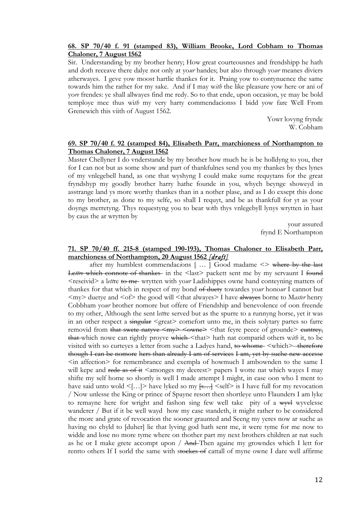#### **68. SP 70/40 f. 91 (stamped 83), William Brooke, Lord Cobham to Thomas Chaloner, 7 August 1562**

Sir. Understanding by my brother henry; How great courteousnes and frendshipp he hath and doth receave there dalye not only at yo*ur* handes; but also through yo*ur* meanes diviers atherwayes. I geve yow moost hartlie thankes for it. Praing yow to contynuence the same towards him the rather for my sake. And if I may w*ith* the like pleasure yow here or ani of yo*re* frendes: ye shall allwayes find me redy. So to that ende, upon occasion, ye may be bold temploye mee thus wi*th* my very harty commendacionss I bidd yow fare Well From Grenewich this viith of August 1562.

> Yowr lovyng frynde W. Cobham

#### **69. SP 70/40 f. 92 (stamped 84), Elisabeth Parr, marchioness of Northampton to Thomas Chaloner, 7 August 1562**

Master Chellyner I do vnderstande by my brother how much he is be holldyng to you, ther for I can not but as some show and part of thankfulnes send you my thankes by thes lynes of my vnlegebell hand, as one that wyshyng I could make sume requytans for the great fryndshyp my goodly brother harry hathe founde in you, whych beynge showeyd in asstrange land ys more worthy thankes than in a nother plase, and as I do exsept this done to my brother, as done to my selfe, so shall I requyt, and be as thankfull for yt as your doyngs merretyng. Thys requestyng you to bear w*i*th thys vnlegebyll lynys wrytten in hast by caus the ar wrytten by

> your assured frynd E Northampton

#### **71. SP 70/40 ff. 215-8 (stamped 190-193), Thomas Chaloner to Elisabeth Parr, marchioness of Northampton, 20 August 1562** *[draft]*

after my humblest commendac*i*ons [ … ] Good madame <> where by the last Lettre which connote of thankes in the <last> packett sent me by my servaunt I found <reseivid> a l*ett*re to me wrytten with yo*ur* Ladishippes owne hand conteyning matters of thankes for that which in respect of my bond of duety towardes yo*ur* hono*ur* I cannot but <my> duetye and <of> the good will <that alwayes> I have alwayes borne to M*aster* henry Cobbham yo*ur* brother nomore but offere of Friendship and benevolence of oon freende to my other, Although the sent l*ett*re served but as the spurre to a runnyng horse, yet it was in an other respect a singular <great> comefort unto me, in theis solytary partes so farre removid from that swete natyve  $\leq$ my>  $\leq$ owne>  $\leq$ that feyre peece of grounde> cuntrey, that which nowe can rightly proyve which <that> hath nat comparid others w*ith* it, to be visited with so curteyes a letter from suche a Ladyes hand, to whome <which>-therefore though I can be nomore hers than already I am of services I am, yet by suche new accesse <in affection> for remembrance and exempla of howmuch I ambownden to the same I will kepe and rede as of it  $\leq$  amonges my deerest $\geq$  papers I wotte nat which wayes I may shifte my self home so shortly is well I made attempt I might, in case oon who I ment to have said unto wold  $\leq$ [...]> have lyked so my  $\frac{1}{5}$   $\leq$ self> is I have full for my revocation / Now unlesse the King or prince of Spayne resort then shortleye unto Flaunders I am lyke to remayne here for wright and fashon sing few well take pity of a wyvel wyvelesse wanderer / But if it be well wayd how my case standeth, it might rather to be considered the more and grate of revocation the sooner graunted and Seeng my yeres now ar suche as having no chyld to [duher] lie that lyving god hath sent me, it were tyme for me now to widde and lose no more tyme where on thother part my next brothers children ar nat such as he or I make grete accompt upon  $/$  And Then againe my growndes which I lett for rentto others If I sorld the same with stockes of cattall of myne owne I dare well affirme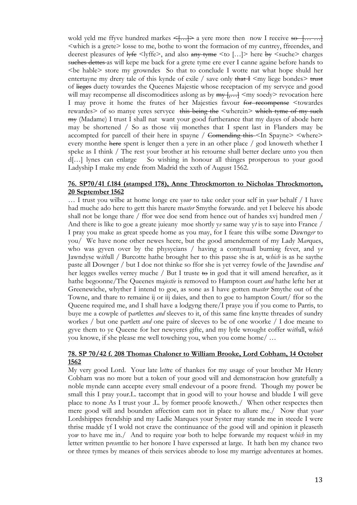wold yeld me ffyve hundred markes  $\leq$ .... a yere more then now I receive so [......] <which is a grete> losse to me, bothe to wont the formacion of my cuntrey, ffreendes, and deerest pleasures of lyfe <lyffe>, and also any tyme <to [...]> here by <suche> charges suches dettes as will kepe me back for a grete tyme ere ever I canne againe before hands to <be hable> store my growndes So that to conclude I wotte nat what hope shuld her entertayne my drery tale of this kynde of exile / save only that  $\pm$  <my liege bondes  $\rightarrow$  trust of lieges duety towardes the Queenes Majestie whose receptacion of my servyce and good will may recompense all discomoditiees aslong as by  $\frac{my}{m}, \dots$   $\leq$  my soedy> revocation here I may prove it home the frutes of her Majesties favour for recompense <towardes rewardes> of so manye yeres servyce this being the <wherein> which tyme of my such <del>my</del> (Madame) I trust I shall nat want your good furtherance that my dayes of abode here may be shortened / So as those viij monethes that I spent last in Flanders may be accompted for parcell of their here in spayne / <del>Comending this</del> <In Spayne> <where> every monthe here spent is lenger then a yere in an other place / god knoweth whether I speke as I think / The rest your brother at his retourne shall better declare unto you then d[…] lynes can enlarge So wishing in honour all thinges prosperous to your good Ladyship I make my ende from Madrid the xxth of August 1562.

#### **76. SP70/41 f.184 (stamped 178), Anne Throckmorton to Nicholas Throckmorton, 20 September 1562**

… I trust you wilbe at home longe ere y*our* to take order your self in y*our* behalf / I have had muche ado here to gett this harere m*aster* Smythe forwarde. and yet I beleeve his abode shall not be longe thare / ffor wee doe send from hence out of handes xvj hundred men / And there is like to goe a greate juieany moe shortly y*e* same way y*t* is to saye into France / I pray you make as great speede home as you may, for I feare this wilbe some Dawng*er* to you/ We have none other newes heere, but the good amendement of my Lady M*ar*ques, who was gyven over by the physycians / having a contynuall burni*n*g fever, and y*e* Jawndyse w*ith*all / Burcotte hathe brought her to this passe she is at, w*hich* is as he saythe paste all Downger / but I doe not thinke so ffor she is yet verrey fowle of the Jawndise *and* her legges swelles verrey muche / But I truste  $\leftrightarrow$  in god that it will amend hereafter, as it hathe begoonne/The Queenes ma*jestie* is removed to Hampton court *and* hathe lefte her at Greenewiche, whyther I intend to goe, as sone as I have gotten m*aster* Smythe out of the Towne, and thare to remaine ij or iij daies, and then to goe to hampton Court/ ffor so the Queene required me, and I shall have a lodgyng there/I praye you if you come to Parris, to buye me a cowple of p*ar*tlettes *and* sleeves to it, of this same fine knytte threades of sundry workes / but one p*ar*tlett *and* one paire of sleeves to be of one woorke / I doe meane to gyve them to ye Queene for her newyeres gifte, and my lytle wrought coffer w*ith*all, w*hich* you knowe, if she please me well towching you, when you come home/ …

#### **78. SP 70/42 f. 208 Thomas Chaloner to William Brooke, Lord Cobham, 14 October 1562**

My very good Lord. Your late l*ett*re of thankes for my usage of your brother Mr Henry Cobham was no more but a token of your good will and demonstrac*i*on how gratefully a noble mynde cann accepte every small endevour of a poore frend. Though my power be small this I pray your.L. taccompt that in good will to your howse and bludde I will geve place to none As I trust your .L. by former proofe knoweth./ When other respectes then mere good will and bounden affection cam not in place to allure me./ Now that yo*ur* Lordshippes frendship and my Ladie Marques your Syster may stande me in steede I were thrise madde yf I wold not crave the continuance of the good will and opinion it pleaseth yo*w* to have me in./ And to require yo*w* both to helpe forwarde my request w*hich* in my letter written p*rese*ntlie to her honore I have experssed at large. It hath ben my chance two or three tymes by meanes of theis services abrode to lose my marrige adventures at homes.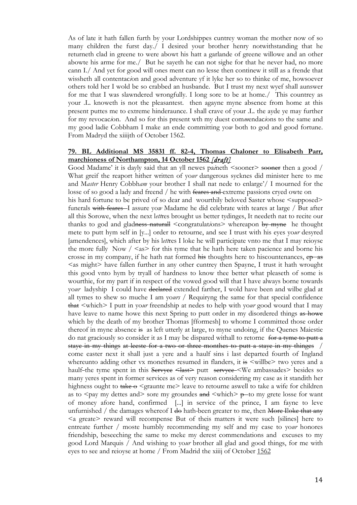As of late it hath fallen furth by your Lordshippes cuntrey woman the mother now of so many children the furst day./ I desired your brother henry notwithstanding that he returneth clad in greene to were abowt his hatt a garlande of greene willowe and an other abowte his arme for me./ But he sayeth he can not sighe for that he never had, no more cann I./ And yet for good will ones ment can no lesse then continew it still as a frende that wissheth all contentac*i*on and good adventure yf it lyke her so to thinke of me, howsoever others told her I wold be so crabbed an husbande. But I trust my next wyef shall aunswer for me that I was slawndered wrongfully. I long sore to be at home./ This countrey as your .L. knoweth is not the pleasantest. then agayne myne absence from home at this present puttes me to extreme hinderaunce. I shall crave of your .L. the ayde ye may further for my revocac*i*on. And so for this present wth my duest com*m*endac*i*ons to the same and my good ladie Cobbham I make an ende committing yo*w* both to god and good fortune. From Madryd the xiiijth of October 1562.

#### **79. BL Additional MS 35831 ff. 82-4, Thomas Chaloner to Elisabeth Parr, marchioness of Northampton, 14 October 1562** *[draft]*

Good Madame' it is dayly said that an yll newes pa*i*neth <sooner> sooner then a good / What greif the reaport hither written of yo*ur* dangerous sycknes did minister here to me and M*aster* Henry Cobbh*am* your brother I shall nat nede to enlarge'/ I mourned for the losse of so good a lady and freend / he with feares and extreme passions cryed owte on his hard fortune to be prived of so dear and wourthily beloved Saster whose  $\leq$ supposed $\geq$ funerals with feares I assure yo*w* Madame he did celebrate with teares at large / But after all this Sorowe, when the next l*ett*res brought us better tydinges, It needeth nat to recite our thanks to god and gladness naturall <congratulat*i*ons> whereapon by myne he thought mete to putt hym self in [y...] order to retourne, and see I trust with his eyes yo*ur* desyred [amendences], which after by his l*ett*res I loke he will participate vnto me that I may reioyse the more fully Now  $/$  <as> for this tyme that he hath here taken pacience and borne his crosse in my company, if he hath nat formed his thoughts here to hiscountenances,  $ep$  as  $\leq$ as might $>$  have fallen further in any other cuntrey then Spayne, I trust it hath wrought this good vnto hym by tryall of hardness to know thee better what pleaseth of some is wourthie, for my part if in respect of the vowed good will that I have always borne towards yo*ur* ladyship I could have declared extended farther, I wold have been and wilbe glad at all tymes to shew so muche I am yo*urs* / Requiryng the same for that special confidence that <which> I putt in yo*ur* freendship at nedes to help with yo*ur* good wourd that I may have leave to name howe this next Spring to putt order in my disordered things as howe which by the death of my brother Thomas [fformesh] to whome I committed those order thereof in myne absence is as left utterly at large, to myne undoing, if the Quenes Maiestie do nat graciously so consider it as I may be dispared withall to retorne for a tyme to putt a staye in my things at leeste for a two or three monthes to putt a staye in my thinges / come easter next it shall just a yere and a haulf sins i last departed fourth of Ingland whereunto adding other vx monethes resumed in flanders, it is  $\le$  will be $\ge$  two yeres and a haulf-the tyme spent in this Servyce <last> putt servyce <We ambassades> besides so many yeres spent in former services as of very reason considering my case as it standith her highness ought to take  $\sim$   $\epsilon$   $\approx$   $\epsilon$   $\sim$   $\epsilon$  and the metallic arrow as a wife for children as to  $\langle$ pay my dettes and $>$  sore my groundes and  $\langle$ which $> \rho$  to my grete losse for want of money afore hand, confirmed [...] in service of the prince, I am fayne to leve unfurnished  $/$  the damages whereof I <del>do</del> hath-been greater to me, then <del>More Iloke that any</del>  $\leq a$  greate reward will recompense But of theis matters it were such [silines] here to entreate further / moste humbly recommending my self and my case to yo*ur* honores friendship, beseeching the same to meke my derest commendations and excuses to my good Lord Marquis / And wishing to yo*ur* brother all glad and good things, for me with eyes to see and reioyse at home / From Madrid the xiiij of October 1562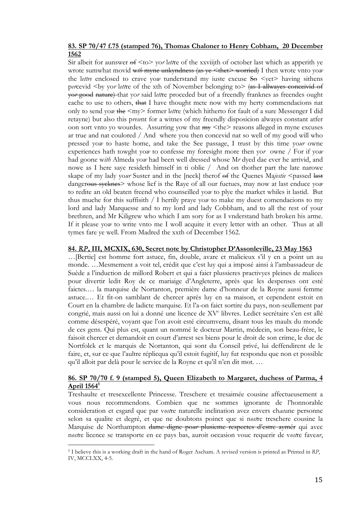#### **83. SP 70/47 f.75 (stamped 76), Thomas Chaloner to Henry Cobham, 20 December 1562**

Sir albeit for aunswer of <to> yo*r* l*ett*re of the xxviijth of october last which as apperith ye wrote sumwhat movid wth myne unkyndness (as ye <thet> worried) I then wrote vnto yow the *lettre* enclosed to crave yow tunderstand my iuste excuse  $\frac{1}{2}$   $\leq$   $\frac{1}{2}$  having sithens p*er*cevid <by yo*r* l*ett*re of the xth of November belonging to> (as I allwayes conceivid of yo*r* good nature) that yo*r* said l*ett*re proceded but of a freendly franknes as freendes ought eache to use to others, that I have thought mete now with my herty commendacions nat only to send yo*w* the <my> former l*ett*re (which hitherto for fault of a sure Messenger I did retayne) but also this p*rese*nt for a witnes of my freendly disposicion alwayes constant atfer oon sort vnto yo wourdes. Assurring yow that my <the> reasons alleged in myne excuses ar true and nat coulored / And where you then concevid nat so well of my good will who pressed yo*w* to haste home, and take the See passage, I trust by this time yo*ur* owne experiences hath towght yo*w* to confesse my foresight more then yo*r* owne / For if yo*w* had goone w*ith* Almeda yo*w* had been well dressed whose M*r* dyed dae ever he arrivid, and nowe as I here saye resideth himself in ti oblie / And on thother part the late narowe skape of my lady yo*ur* Suster and in the [neck] therof of the Quenes Ma*jestie* <passed last dangerous sycknes> whose lief is the Raye of all our fuetues, may now at last enduce yo*w* to redite an old beaten freend who counseilled yo*w* to plye the market whiles it lastid. But thus muche for this suffisith / I hertily praye yo*w* to make my duest comendacions to my lord and lady Marquesse and to my lord and lady Cobbham, and to all the rest of your brethren, and Mr Kiligrew who which I am sory for as I vnderstand hath broken his arme. If it please yo*w* to write vnto me I woll acquite it every letter with an other. Thus at all tymes fare ye well. From Madred the xxth of December 1562.

#### **84.** *RP***, III, MCXIX, 630, Secret note by Christopher D'Assonleville, 23 May 1563**

…[Bertie] est homme fort astuce, fin, double, avare et malicieux s'il y en a point un au monde. …Mesmement a voit tel, crédit que c'est luy qui a imposé ainsi à l'ambassadeur de Suède a l'induction de millord Robert et qui a faict plussieres practivyes pleines de malices pour divertir ledit Roy de ce mariaige d'Angleterre, après que les despenses ont esté faictes.… la marquise de Nortanton, première dame d'honneur de la Royne aussi femme astuce.… Et fit-on samblant de chercer après luy en sa maison, et cependent estoit en Court en la chambre de ladicte marquise. Et l'a-on faict sortire du pays, non-seullement par congrié, mais aussi on lui a donné une licence de XV<sup>c</sup> libvres. Ledict secrétaire s'en est allé comme désespéré, voyant que l'on avoit esté circumvenu, disant tous les maulx du monde de ces gens. Qui plus est, quant un nommé le docteur Martin, médecin, son beau-frère, le faisoit chercer et demandoit en court d'arrest ses biens pour le droit de son crime, le duc de Nortfolck et le marquis de Nortanton, qui sont du Conseil privé, lui deffendirent de le faire, et, sur ce que l'aultre réplicqua qu'il estoit fugitif, luy fut respondu que non et possible qu'il alloit par delà pour le service de la Royne et qu'il n'en dit mot. …

#### **86. SP 70/70 f. 9 (stamped 5), Queen Elizabeth to Margaret, duchess of Parma, 4 April 15645**

Treshaulte et tresexcellente Princesse. Treschere et tresaimée cousine affectueusement a vous nous recommendons. Combien que ne sommes ignorante de l'honnorable consideration et esgard que par v*ost*re naturelle inclination avez envers ch*ac*une personne selon sa qualite et degré, et que ne doubtons poinct que si n*ost*re treschere cousine la Marquise de Northampton dame digne po*ur* plusieme respectes d'estre aymér qui avec n*ost*re licence se transporte en ce pays bas, auroit occasion vouc requerir de v*ost*re fave*ur*,

<u>.</u>

<sup>5</sup> I believe this is a working draft in the hand of Roger Ascham. A revised version is printed as Printed in *RP*, IV, MCCLXX, 4-5.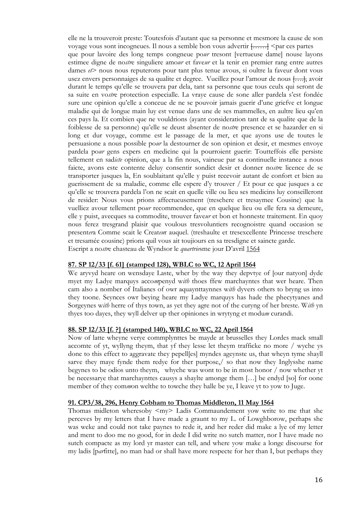elle ne la trouveroit preste: Toutesfois d'autant que sa personne et mesmore la cause de son voyage vous sont incogneues. Il nous a semble bon vous advertir  $\{\ldots\}$  <par ces partes que pour lavoire des long temps congneue po*ur* tresont [vertueuse dame] nouse layons estimee digne de no*str*e singuliere amo*ur* et fave*ur* et la tenir en premier rang entre autres dames *et*> nous nous reputerons pour tant plus tenue avous, si oultre la faveur dont vous usez envers personnaiges de sa qualite et degree. Vueillez pour l'amour de nous [...], avoir durant le temps qu'elle se trouvera par dela, tant sa personne que tous ceulx qui seront de sa suite en vo*str*e protection especialle. La vraye cause de sone aller pardela s'est fondée sure une opinion qu'elle a conceue de ne se pouvoir jamais guerir d'une griefve et longue maladie qui de longue main luy est venue dans une de ses mammelles, en aultre lieu qu'en ces pays la. Et combien que ne vouldrions (ayant consideration tant de sa qualite que de la foiblesse de sa personne) qu'elle se deust absenter de no*str*e presence et se hazarder en si long et dur voyage, comme est le passage de la mer, et que ayons use de toutes le persuasione a nous possible po*ur* la destourner de son opinion et desir, et mesmes envoye pardela po*ur* gens expers en medicine qui la pourroient guerir: Toutteffois elle persiste tellement en sad*icte* opinion, que a la fin nous, vaineue par sa continuelle instance a nous faicte, avons este contente deluy consentir sondict desir et donner no*str*e licence de se transporter jusques la, En soublaitant qu'elle y puist recevoir autant de confort et bien au guerissement de sa maladie, comme elle espere d'y trouver / Et pour ce que jusques a ce qu'elle se trouvera pardela l'on ne scait en quelle ville ou lieu ses medicins luy conseilleront de resider: Nous vous prions affectueusement (treschere et tresaymee Cousine) que la vuelliez avour tellement po*ur* recommendee, que en quelque lieu ou elle fera sa demeure, elle y puist, avecques sa commodite, trouver fave*ur* et bon et honneste traitement. En quoy nous ferez tresgrand plaisir que voulous tresvoluntiers recognoistre quand occasion se present*er*a Comme scait le Creat*eu*r auquel. (treshaulte et tresexcellente Princesse treschere et tresamée cousine) prions quil vous ait toujiours en sa tresdigne et saincte garde. Escript a no*str*e chasteau de Wyndsor le *quartrie*sme jour D'avril 1564

#### **87. SP 12/33 [f. 61] (stamped 128), WBLC to WC, 12 April 1564**

We aryvyd heare on wensdaye Laste, wher by the way they depvtye of [our natyon] dyde myet my Ladye marquys acco*m*penyd w*ith* thoes ffew marchayntes that wer heare. Then cam also a nomber of Italianes of owr aquaynttaynnes w*ith* dyvers others to bryng us into they toone. Seynces owr beying heare my Ladye marquys has hade the phecytyanes and Sorgeynes w*ith* herre of thys town, as yet they agre not of the curyng of her breste. W*ith* yn thyes too dayes, they wyll delver up ther opiniones in wrytyng et modu*m* curandi.

## **88. SP 12/33 [f. ?] (stamped 140), WBLC to WC, 22 April 1564**

Now of latte wheyne verye commplynttes be mayde at brusselles they Lordes mack small accomte of yt, wyllyng theym, that yf they lesse let theym trafficke no more / wyche ys done to this effect to aggravate they pepell[es] myndes ageynste us, that wheyn tyme shayll sarve they maye fynde them redye for ther purpose,/ so that now they Inglysshe name begynes to be odios unto theym, whyche was wont to be in most honor / now whether yt be necessarye that marchaynttes causys a shaylte amonge them […] be endyd [so] for oone member of they com*m*on welthe to towche they halle be ye, I leave yt to yow to Juge.

#### **91. CP3/38, 296, Henry Cobham to Thomas Middleton, 11 May 1564**

Thomas midleton wheresoby  $\langle my \rangle$  Ladis Commaundement yow write to me that she perceves by my letters that I have made a graunt to my L. of Lowghborow, perhaps she was weke and could not take paynes to rede it, and her reder did make a lye of my letter and ment to doo me no good, for in dede I did write no sutch matter, nor I have made no sutch compacte as my lord yr master can tell, and where yow make a longe discourse for my ladis [p*ar*fitte], no man had or shall have more respecte for her than I, but perhaps they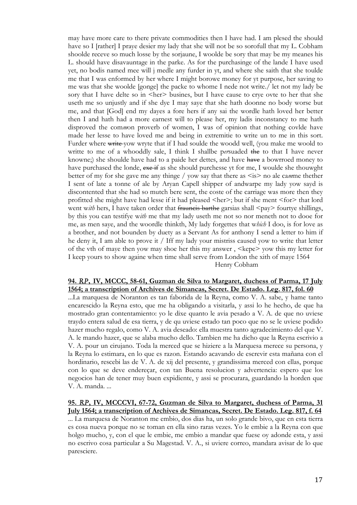may have more care to there private commodities then I have had. I am plesed the should have so I [rather] I praye desier my lady that she will not be so sorofull that my L. Cobham shoolde receve so much losse by the sorjaune, I woolde be sory that may be my meanes his L. should have disavauntage in the parke. As for the purchasinge of the lande I have used yet, no bodis named mee will j medle any furder in yt, and where she saith that she toulde me that I was enformed by her where I might borowe money for yt purpose, her saving to me was that she woolde [gonge] the packe to whome I nede not write./ let not my lady be sory that I have delte so in <her> busines, but I have cause to crye ovte to her that she useth me so unjustly and if she dye I may saye that she hath doonne no body worse but me, and that [God] end my dayes a fore hers if any sai the wordle hath loved her better then I and hath had a more earnest will to please her, my ladis inconstancy to me hath disproved the com*m*on proverb of women, I was of opinion that nothing covlde have made her lesse to have loved me and being in extremitie to write un to me in this sort. Furder where write yow wryte that if I had soulde the woodd well, (you make me woold to writte to me of a whooddly sale, I think I shallbe persuaded the to that I have never knowne;) she shoulde have had to a paide her dettes, and have have a bowrroed money to have purchased the londe, exe if as she should purchesse yt for me, I woulde she thouwght better of my for she gave me any thinge / yow say that there as  $\leq$  is  $>$  no ale camme thether I sent of late a tonne of ale by Aryan Capell shipper of andwarpe my lady yow sayd is discontented that she had so mutch bere sent, the coste of the carriage was more then they profitted she might have had lesse if it had pleased  $\leq$  her $\geq$ ; but if she ment  $\leq$  for $\geq$  that lord went with hers, I have taken order that frauncis barthe garsias shall  $\langle pay\rangle$  fourtye shillings, by this you can testifye w*ith* me that my lady useth me not so nor meneth not to dooe for me, as men saye, and the woordle thinkth, My lady forgettes that w*hich* I doo, is for love as a brother, and not bounden by duety as a Servant As for anthony I send a letter to him if he deny it, I am able to prove it / Iff my lady your mistriss caused yow to write that letter of the vth of maye then yow may shoe her this my answer, <kepe> yow this my letter for I keep yours to show againe when time shall serve from London the xith of maye 1564 Henry Cobham

#### **94.** *RP***,****IV, MCCC, 58-61, Guzman de Silva to Margaret, duchess of Parma, 17 July 1564; a transcription of Archives de Simancas, Secret. De Estado. Leg. 817, fol. 60**

...La marquesa de Noranton es tan faborida de la Reyna, como V. A. sabe, y hame tanto encarescido la Reyna esto, que me ha obligando a visitarla, y assi lo he hecho, de que ha mostrado gran contentamiento: yo le dixe quanto le avia pesado a V. A. de que no uviese traydo entera salud de esa tierra, y de qu uviese estado tan poco que no se le uviese podido hazer mucho regalo, como V. A. avia deseado: ella muestra tanto agradecimiento del que V. A. le mando hazer, que se alaba mucho dello. Tambien me ha dicho que la Reyna escrivio a V. A. pour un cirujano. Toda la merced que se hiziere a la Marquesa merece su persona, y la Reyna lo estimara, en lo que es razon. Estando acavando de escrevir esta mañana con el hordinario, rescebi las de V. A. de xij del presente, y grandissima merced con ellas, porque con lo que se deve endereçar, con tan Buena resolucion y advertencia: espero que los negocios han de tener muy buen expidiente, y assi se procurara, guardando la horden que V. A. manda. ...

**95.** *RP***, IV, MCCCVI, 67-72, Guzman de Silva to Margaret, duchess of Parma, 31 July 1564; a transcription of Archives de Simancas, Secret. De Estado. Leg. 817, f. 64**

... La marquesa de Noranton me embio, dos dias ha, un solo grande bivo, que en esta tierra es cosa nueva porque no se toman en ella sino raras vezes. Yo le embie a la Reyna con que holgo mucho, y, con el que le embie, me embio a mandar que fuese oy adonde esta, y assi no escrivo cosa particular a Su Magestad. V. A., si uviere correo, mandara avisar de lo que paresciere.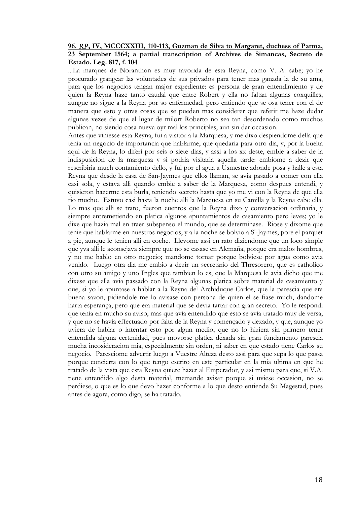#### **96.** *RP***, IV, MCCCXXIII, 110-113, Guzman de Silva to Margaret, duchess of Parma, 23 September 1564; a partial transcription of Archives de Simancas, Secreto de Estado. Leg. 817, f. 104**

...La marques de Noranthon es muy favorida de esta Reyna, como V. A. sabe; yo he procurado grangear las voluntades de sus privados para tener mas ganada la de su ama, para que los negocios tengan major expediente: es persona de gran entendimiento y de quien la Reyna haze tanto caudal que entre Robert y ella no faltan algunas coxquilles, aungue no sigue a la Reyna por so enfermedad, pero entiendo que se osa tener con el de manera que esto y otras cosas que se pueden mas considerer que referir me haze dudar algunas vezes de que el lugar de milort Roberto no sea tan desordenado como muchos publican, no siendo cosa nueva oyr mal los principles, aun sin dar occasion.

Antes que viniesse esta Reyna, fui a visitor a la Marquesa, y me dixo despiendome della que tenia un negocio de importancia que hablarme, que quedaria para otro dia, y, por la buelta aqui de la Reyna, lo diferi por seis o siete dias, y assi a los xx deste, embie a saber de la indispusicion de la marquesa y si podria visitarla aquella tarde: embiome a dezir que rescribiria much contamiento dello, y fui por el agua a Usmestre adonde posa y halle a esta Reyna que desde la casa de San-Jaymes que ellos llaman, se avia pasado a comer con ella casi sola, y estava alli quando embie a saber de la Marquesa, como despues entendi, y quisieron hazerme esta burla, teniendo secreto hasta que yo me vi con la Reyna de que ella rio mucho. Estuvo casi hasta la noche alli la Marquesa en su Camilla y la Reyna cabe ella. Lo mas que alli se trato, fueron euentos que la Reyna dixo y conversacion ordinaria, y siempre entremetiendo en platica algunos apuntamientos de casamiento pero leves; yo le dixe que hazia mal en traer subspenso el mundo, que se determinase. Riose y dixome que tenie que hablarme en nuestros negocios, y a la noche se bolvio a S'-Jaymes, pore el parquet a pie, aunque le tenien alli en coche. Llevome assi en rato diziendome que un loco simple que yva alli le aconsejava siempre que no se casase en Alemaña, porque era malos hombres, y no me hablo en otro negocio; mandome tornar porque bolviese por agua como avia venido. Luego otra dia me embio a dezir un secretario del Thresorero, que es catholico con otro su amigo y uno Ingles que tambien lo es, que la Marquesa le avia dicho que me dixese que ella avia passado con la Reyna algunas platica sobre material de casamiento y que, si yo le apuntase a hablar a la Reyna del Archiduque Carlos, que la parescia que era buena sazon, pidiendole me lo avisase con persona de quien el se fiase much, dandome harta esperança, pero que era material que se devia tartar con gran secreto. Yo le respondi que tenia en mucho su aviso, mas que avia entendido que esto se avia tratado muy de versa, y que no se havia effectuado por falta de la Reyna y començado y dexado, y que, aunque yo uviera de hablar o intentar esto por algun medio, que no lo hiziera sin primero tener entendida alguna certenidad, pues movorse platica dexada sin gran fundamento parescia mucha incosideracion mia, especialmente sin orden, ni saber en que estado tiene Carlos su negocio. Paresciome advertir luego a Vuestre Alteza desto assi para que sepa lo que passa porque concierta con lo que tengo escrito en este particular en la mia ultima en que he tratado de la vista que esta Reyna quiere hazer al Emperador, y asi mismo para que, si V.A. tiene entendido algo desta material, memande avisar porque si uviese occasion, no se perdiese, o que es lo que devo hazer conforme a lo que desto entiende Su Magestad, pues antes de agora, como digo, se ha tratado.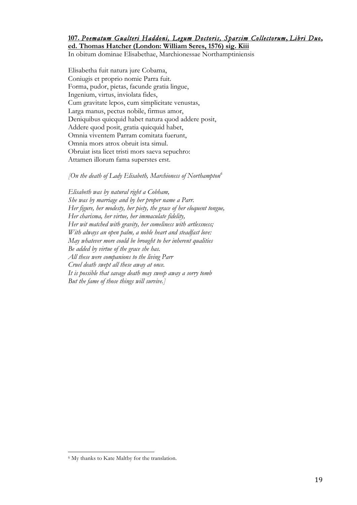## **107.** *Poematum Gualteri Haddoni, Legum Doctoris, Sparsim Collectorum***,** *Libri Duo***,**

**ed. Thomas Hatcher (London: William Seres, 1576) sig. Kiii**

In obitum dominae Elisabethae, Marchionessae Northamptiniensis

Elisabetha fuit natura jure Cobama, Coniugis et proprio nomie Parra fuit. Forma, pudor, pietas, facunde gratia lingue, Ingenium, virtus, inviolata fides, Cum gravitate lepos, cum simplicitate venustas, Larga manus, pectus nobile, firmus amor, Deniquibus quicquid habet natura quod addere posit, Addere quod posit, gratia quicquid habet, Omnia viventem Parram comitata fuerunt, Omnia mors atrox obruit ista simul. Obruiat ista licet tristi mors saeva sepuchro: Attamen illorum fama superstes erst.

*[On the death of Lady Elisabeth, Marchioness of Northampton6*

*Elisabeth was by natural right a Cobham, She was by marriage and by her proper name a Parr. Her figure, her modesty, her piety, the grace of her eloquent tongue, Her charisma, her virtue, her immaculate fidelity, Her wit matched with gravity, her comeliness with artlessness; With always an open palm, a noble heart and steadfast love: May whatever more could be brought to her inherent qualities Be added by virtue of the grace she has. All these were companions to the living Parr Cruel death swept all these away at once. It is possible that savage death may sweep away a sorry tomb But the fame of those things will survive.]*

<u>.</u>

<sup>6</sup> My thanks to Kate Maltby for the translation.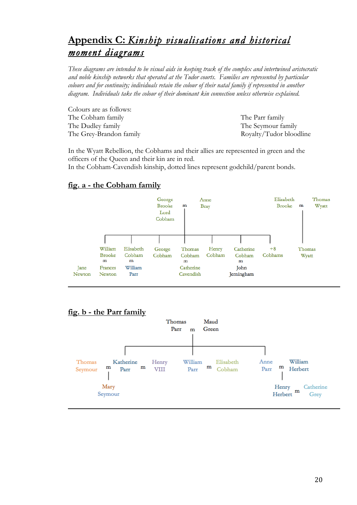# **Appendix C:** *Kinship visualisations and historical moment diagrams*

*These diagrams are intended to be visual aids in keeping track of the complex and intertwined aristocratic and noble kinship networks that operated at the Tudor courts. Families are represented by particular colours and for continuity; individuals retain the colour of their natal family if represented in another diagram. Individuals take the colour of their dominant kin connection unless otherwise explained.* 

Colours are as follows: The Cobham family The Parr family The Dudley family The Seymour family

The Grey-Brandon family Royalty/Tudor bloodline

In the Wyatt Rebellion, the Cobhams and their allies are represented in green and the officers of the Queen and their kin are in red.

In the Cobham-Cavendish kinship, dotted lines represent godchild/parent bonds.

## **fig. a - the Cobham family**



## **fig. b - the Parr family**

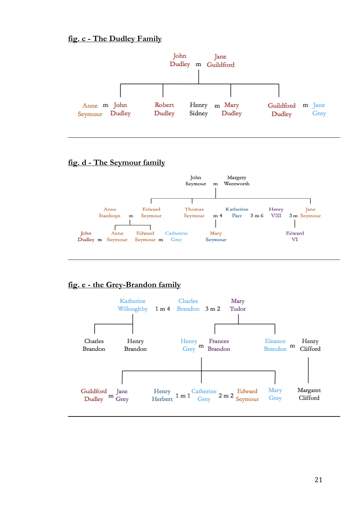## **fig. c - The Dudley Family**



## **fig. d - The Seymour family**



## **fig. e - the Grey-Brandon family**

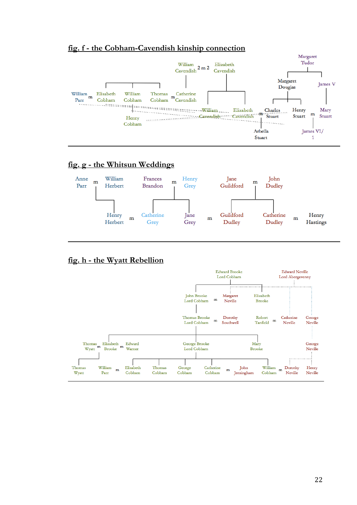## **fig. f - the Cobham-Cavendish kinship connection**



## **fig. g - the Whitsun Weddings**



## **fig. h - the Wyatt Rebellion**

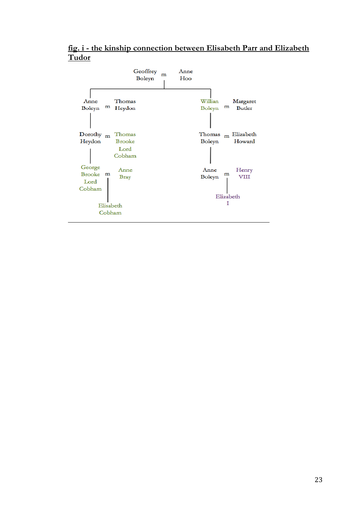**fig. i - the kinship connection between Elisabeth Parr and Elizabeth Tudor**

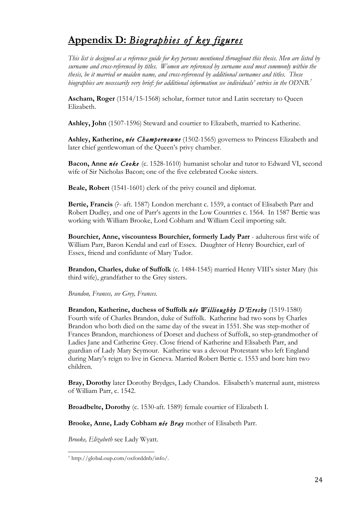# **Appendix D:** *Biographies of key figures*

*This list is designed as a reference guide for key persons mentioned throughout this thesis. Men are listed by surname and cross-referenced by titles. Women are referenced by surname used most commonly within the thesis, be it married or maiden name, and cross-referenced by additional surnames and titles. These biographies are necessarily very brief: for additional information see individuals' entries in the ODNB.7*

**Ascham, Roger** (1514/15-1568) scholar, former tutor and Latin secretary to Queen Elizabeth.

**Ashley, John** (1507-1596) Steward and courtier to Elizabeth, married to Katherine.

**Ashley, Katherine,** *née Champernowne* (1502-1565) governess to Princess Elizabeth and later chief gentlewoman of the Queen's privy chamber.

**Bacon, Anne** *née Cooke* (c. 1528-1610)humanist scholar and tutor to Edward VI, second wife of Sir Nicholas Bacon; one of the five celebrated Cooke sisters.

**Beale, Robert** (1541-1601) clerk of the privy council and diplomat.

**Bertie, Francis** (?- aft. 1587) London merchant c. 1559, a contact of Elisabeth Parr and Robert Dudley, and one of Parr's agents in the Low Countries c. 1564. In 1587 Bertie was working with William Brooke, Lord Cobham and William Cecil importing salt.

**Bourchier, Anne, viscountess Bourchier, formerly Lady Parr** - adulterous first wife of William Parr, Baron Kendal and earl of Essex. Daughter of Henry Bourchier, earl of Essex, friend and confidante of Mary Tudor.

**Brandon, Charles, duke of Suffolk** (c. 1484-1545) married Henry VIII's sister Mary (his third wife), grandfather to the Grey sisters.

*Brandon, Frances, see Grey, Frances.*

**Brandon, Katherine, duchess of Suffolk** *née Willioughby D'Eresby* (1519-1580) Fourth wife of Charles Brandon, duke of Suffolk. Katherine had two sons by Charles Brandon who both died on the same day of the sweat in 1551. She was step-mother of Frances Brandon, marchioness of Dorset and duchess of Suffolk, so step-grandmother of Ladies Jane and Catherine Grey. Close friend of Katherine and Elisabeth Parr, and guardian of Lady Mary Seymour. Katherine was a devout Protestant who left England during Mary's reign to live in Geneva. Married Robert Bertie c. 1553 and bore him two children.

**Bray, Dorothy** later Dorothy Brydges, Lady Chandos. Elisabeth's maternal aunt, mistress of William Parr, c. 1542.

**Broadbelte, Dorothy** (c. 1530-aft. 1589) female courtier of Elizabeth I.

**Brooke, Anne, Lady Cobham** *née Bray* mother of Elisabeth Parr.

*Brooke, Elizabeth* see Lady Wyatt.

<sup>&</sup>lt;u>.</u> 7 http://global.oup.com/oxforddnb/info/.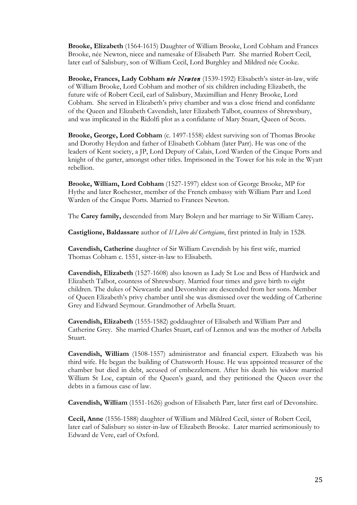**Brooke, Elizabeth** (1564-1615) Daughter of William Brooke, Lord Cobham and Frances Brooke, née Newton, niece and namesake of Elisabeth Parr. She married Robert Cecil, later earl of Salisbury, son of William Cecil, Lord Burghley and Mildred née Cooke.

**Brooke, Frances, Lady Cobham** *née Newton* (1539-1592) Elisabeth's sister-in-law, wife of William Brooke, Lord Cobham and mother of six children including Elizabeth, the future wife of Robert Cecil, earl of Salisbury, Maximillian and Henry Brooke, Lord Cobham. She served in Elizabeth's privy chamber and was a close friend and confidante of the Queen and Elizabeth Cavendish, later Elizabeth Talbot, countess of Shrewsbury, and was implicated in the Ridolfi plot as a confidante of Mary Stuart, Queen of Scots.

**Brooke, George, Lord Cobham** (c. 1497-1558) eldest surviving son of Thomas Brooke and Dorothy Heydon and father of Elisabeth Cobham (later Parr). He was one of the leaders of Kent society, a JP, Lord Deputy of Calais, Lord Warden of the Cinque Ports and knight of the garter, amongst other titles. Imprisoned in the Tower for his role in the Wyatt rebellion.

**Brooke, William, Lord Cobham** (1527-1597) eldest son of George Brooke, MP for Hythe and later Rochester, member of the French embassy with William Parr and Lord Warden of the Cinque Ports. Married to Frances Newton.

The **Carey family,** descended from Mary Boleyn and her marriage to Sir William Carey**.**

**Castiglione, Baldassare** author of *Il Libro del Cortegiano*, first printed in Italy in 1528.

**Cavendish, Catherine** daughter of Sir William Cavendish by his first wife, married Thomas Cobham c. 1551, sister-in-law to Elisabeth.

**Cavendish, Elizabeth** (1527-1608) also known as Lady St Loe and Bess of Hardwick and Elizabeth Talbot, countess of Shrewsbury. Married four times and gave birth to eight children. The dukes of Newcastle and Devonshire are descended from her sons. Member of Queen Elizabeth's privy chamber until she was dismissed over the wedding of Catherine Grey and Edward Seymour. Grandmother of Arbella Stuart.

**Cavendish, Elizabeth** (1555-1582) goddaughter of Elisabeth and William Parr and Catherine Grey.She married Charles Stuart, earl of Lennox and was the mother of Arbella Stuart.

**Cavendish, William** (1508-1557) administrator and financial expert. Elizabeth was his third wife. He began the building of Chatsworth House. He was appointed treasurer of the chamber but died in debt, accused of embezzlement. After his death his widow married William St Loe, captain of the Queen's guard, and they petitioned the Queen over the debts in a famous case of law.

**Cavendish, William** (1551-1626) godson of Elisabeth Parr, later first earl of Devonshire.

**Cecil, Anne** (1556-1588) daughter of William and Mildred Cecil, sister of Robert Cecil, later earl of Salisbury so sister-in-law of Elizabeth Brooke. Later married acrimoniously to Edward de Vere, earl of Oxford.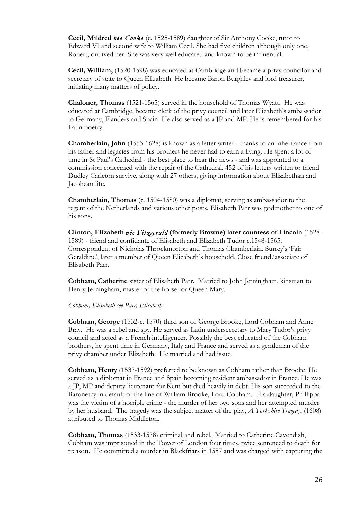**Cecil, Mildred** *née Cooke* (c. 1525-1589) daughter of Sir Anthony Cooke, tutor to Edward VI and second wife to William Cecil. She had five children although only one, Robert, outlived her. She was very well educated and known to be influential.

**Cecil, William,** (1520-1598) was educated at Cambridge and became a privy councilor and secretary of state to Queen Elizabeth. He became Baron Burghley and lord treasurer, initiating many matters of policy.

**Chaloner, Thomas** (1521-1565) served in the household of Thomas Wyatt. He was educated at Cambridge, became clerk of the privy council and later Elizabeth's ambassador to Germany, Flanders and Spain. He also served as a JP and MP. He is remembered for his Latin poetry.

**Chamberlain, John** (1553-1628) is known as a letter writer - thanks to an inheritance from his father and legacies from his brothers he never had to earn a living. He spent a lot of time in St Paul's Cathedral - the best place to hear the news - and was appointed to a commission concerned with the repair of the Cathedral. 452 of his letters written to friend Dudley Carleton survive, along with 27 others, giving information about Elizabethan and Jacobean life.

**Chamberlain, Thomas** (c. 1504-1580) was a diplomat, serving as ambassador to the regent of the Netherlands and various other posts. Elisabeth Parr was godmother to one of his sons.

**Clinton, Elizabeth** *née Fitzgerald* **(formerly Browne) later countess of Lincoln** (1528- 1589) - friend and confidante of Elisabeth and Elizabeth Tudor c.1548-1565. Correspondent of Nicholas Throckmorton and Thomas Chamberlain. Surrey's 'Fair Geraldine', later a member of Queen Elizabeth's household. Close friend/associate of Elisabeth Parr.

**Cobham, Catherine** sister of Elisabeth Parr. Married to John Jerningham, kinsman to Henry Jerningham, master of the horse for Queen Mary.

#### *Cobham, Elisabeth see Parr, Elisabeth.*

**Cobham, George** (1532-c. 1570) third son of George Brooke, Lord Cobham and Anne Bray. He was a rebel and spy. He served as Latin undersecretary to Mary Tudor's privy council and acted as a French intelligencer. Possibly the best educated of the Cobham brothers, he spent time in Germany, Italy and France and served as a gentleman of the privy chamber under Elizabeth. He married and had issue.

**Cobham, Henry** (1537-1592) preferred to be known as Cobham rather than Brooke. He served as a diplomat in France and Spain becoming resident ambassador in France. He was a JP, MP and deputy lieutenant for Kent but died heavily in debt. His son succeeded to the Baronetcy in default of the line of William Brooke, Lord Cobham. His daughter, Phillippa was the victim of a horrible crime - the murder of her two sons and her attempted murder by her husband. The tragedy was the subject matter of the play, *A Yorkshire Tragedy*, (1608) attributed to Thomas Middleton.

**Cobham, Thomas** (1533-1578) criminal and rebel. Married to Catherine Cavendish, Cobham was imprisoned in the Tower of London four times, twice sentenced to death for treason. He committed a murder in Blackfriars in 1557 and was charged with capturing the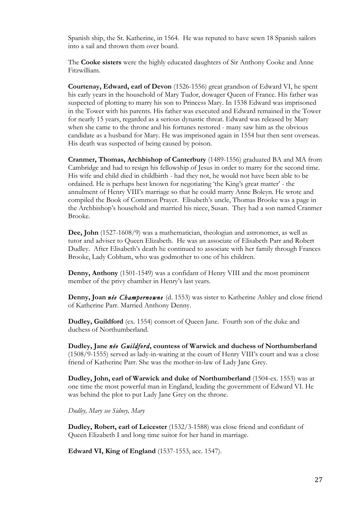Spanish ship, the St. Katherine, in 1564. He was reputed to have sewn 18 Spanish sailors into a sail and thrown them over board.

The **Cooke sisters** were the highly educated daughters of Sir Anthony Cooke and Anne Fitzwilliam.

**Courtenay, Edward, earl of Devon** (1526-1556) great grandson of Edward VI, he spent his early years in the household of Mary Tudor, dowager Queen of France. His father was suspected of plotting to marry his son to Princess Mary. In 1538 Edward was imprisoned in the Tower with his parents. His father was executed and Edward remained in the Tower for nearly 15 years, regarded as a serious dynastic threat. Edward was released by Mary when she came to the throne and his fortunes restored - many saw him as the obvious candidate as a husband for Mary. He was imprisoned again in 1554 but then sent overseas. His death was suspected of being caused by poison.

**Cranmer, Thomas, Archbishop of Canterbury** (1489-1556) graduated BA and MA from Cambridge and had to resign his fellowship of Jesus in order to marry for the second time. His wife and child died in childbirth - had they not, he would not have been able to be ordained. He is perhaps best known for negotiating 'the King's great matter' - the annulment of Henry VIII's marriage so that he could marry Anne Boleyn. He wrote and compiled the Book of Common Prayer. Elisabeth's uncle, Thomas Brooke was a page in the Archbishop's household and married his niece, Susan. They had a son named Cranmer Brooke.

**Dee, John** (1527-1608/9) was a mathematician, theologian and astronomer, as well as tutor and adviser to Queen Elizabeth. He was an associate of Elisabeth Parr and Robert Dudley. After Elisabeth's death he continued to associate with her family through Frances Brooke, Lady Cobham, who was godmother to one of his children.

**Denny, Anthony** (1501-1549) was a confidant of Henry VIII and the most prominent member of the privy chamber in Henry's last years.

**Denny, Joan** *née Champernowne* (d. 1553) was sister to Katherine Ashley and close friend of Katherine Parr. Married Anthony Denny.

**Dudley, Guildford** (ex. 1554) consort of Queen Jane. Fourth son of the duke and duchess of Northumberland.

**Dudley, Jane** *née Guildford***, countess of Warwick and duchess of Northumberland**  (1508/9-1555) served as lady-in-waiting at the court of Henry VIII's court and was a close friend of Katherine Parr. She was the mother-in-law of Lady Jane Grey.

**Dudley, John, earl of Warwick and duke of Northumberland** (1504-ex. 1553) was at one time the most powerful man in England, leading the government of Edward VI. He was behind the plot to put Lady Jane Grey on the throne.

*Dudley, Mary see Sidney, Mary*

**Dudley, Robert, earl of Leicester** (1532/3-1588) was close friend and confidant of Queen Elizabeth I and long time suitor for her hand in marriage.

**Edward VI, King of England** (1537-1553, acc. 1547).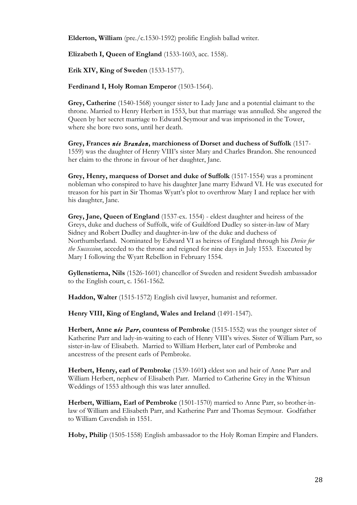**Elderton, William** (pre./c.1530-1592) prolific English ballad writer.

**Elizabeth I, Queen of England** (1533-1603, acc. 1558).

**Erik XIV, King of Sweden** (1533-1577).

**Ferdinand I, Holy Roman Emperor** (1503-1564).

**Grey, Catherine** (1540-1568) younger sister to Lady Jane and a potential claimant to the throne. Married to Henry Herbert in 1553, but that marriage was annulled. She angered the Queen by her secret marriage to Edward Seymour and was imprisoned in the Tower, where she bore two sons, until her death.

**Grey, Frances** *née Brandon***, marchioness of Dorset and duchess of Suffolk** (1517- 1559) was the daughter of Henry VIII's sister Mary and Charles Brandon. She renounced her claim to the throne in favour of her daughter, Jane.

**Grey, Henry, marquess of Dorset and duke of Suffolk** (1517-1554) was a prominent nobleman who conspired to have his daughter Jane marry Edward VI. He was executed for treason for his part in Sir Thomas Wyatt's plot to overthrow Mary I and replace her with his daughter, Jane.

**Grey, Jane, Queen of England** (1537-ex. 1554) - eldest daughter and heiress of the Greys, duke and duchess of Suffolk, wife of Guildford Dudley so sister-in-law of Mary Sidney and Robert Dudley and daughter-in-law of the duke and duchess of Northumberland. Nominated by Edward VI as heiress of England through his *Device for the Succession*, acceded to the throne and reigned for nine days in July 1553. Executed by Mary I following the Wyatt Rebellion in February 1554.

**Gyllenstierna, Nils** (1526-1601) chancellor of Sweden and resident Swedish ambassador to the English court, c. 1561-1562.

**Haddon, Walter** (1515-1572) English civil lawyer, humanist and reformer.

**Henry VIII, King of England, Wales and Ireland** (1491-1547).

**Herbert, Anne** *née Parr***, countess of Pembroke** (1515-1552) was the younger sister of Katherine Parr and lady-in-waiting to each of Henry VIII's wives. Sister of William Parr, so sister-in-law of Elisabeth. Married to William Herbert, later earl of Pembroke and ancestress of the present earls of Pembroke.

**Herbert, Henry, earl of Pembroke** (1539-1601**)** eldest son and heir of Anne Parr and William Herbert, nephew of Elisabeth Parr. Married to Catherine Grey in the Whitsun Weddings of 1553 although this was later annulled.

**Herbert, William, Earl of Pembroke** (1501-1570) married to Anne Parr, so brother-inlaw of William and Elisabeth Parr, and Katherine Parr and Thomas Seymour. Godfather to William Cavendish in 1551.

**Hoby, Philip** (1505-1558) English ambassador to the Holy Roman Empire and Flanders.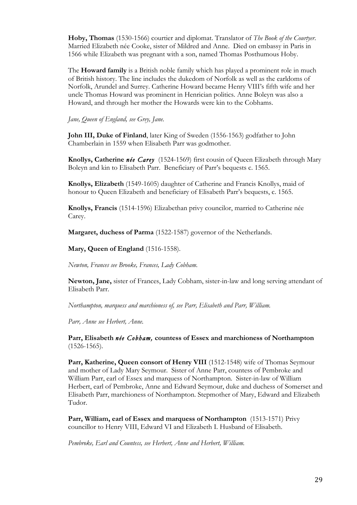**Hoby, Thomas** (1530-1566) courtier and diplomat. Translator of *The Book of the Courtyer*. Married Elizabeth née Cooke, sister of Mildred and Anne. Died on embassy in Paris in 1566 while Elizabeth was pregnant with a son, named Thomas Posthumous Hoby.

The **Howard family** is a British noble family which has played a prominent role in much of British history. The line includes the dukedom of Norfolk as well as the earldoms of Norfolk, Arundel and Surrey. Catherine Howard became Henry VIII's fifth wife and her uncle Thomas Howard was prominent in Henrician politics. Anne Boleyn was also a Howard, and through her mother the Howards were kin to the Cobhams.

*Jane, Queen of England, see Grey, Jane.*

**John III, Duke of Finland**, later King of Sweden (1556-1563) godfather to John Chamberlain in 1559 when Elisabeth Parr was godmother.

**Knollys, Catherine** *née Carey* (1524-1569) first cousin of Queen Elizabeth through Mary Boleyn and kin to Elisabeth Parr. Beneficiary of Parr's bequests c. 1565.

**Knollys, Elizabeth** (1549-1605) daughter of Catherine and Francis Knollys, maid of honour to Queen Elizabeth and beneficiary of Elisabeth Parr's bequests, c. 1565.

**Knollys, Francis** (1514-1596) Elizabethan privy councilor, married to Catherine née Carey.

**Margaret, duchess of Parma** (1522-1587) governor of the Netherlands.

**Mary, Queen of England** (1516-1558).

*Newton, Frances see Brooke, Frances, Lady Cobham.*

**Newton, Jane,** sister of Frances, Lady Cobham, sister-in-law and long serving attendant of Elisabeth Parr.

*Northampton, marquess and marchioness of, see Parr, Elisabeth and Parr, William.* 

*Parr, Anne see Herbert, Anne.*

**Parr, Elisabeth** *née Cobham,* **countess of Essex and marchioness of Northampton**  (1526-1565).

Parr, Katherine, Queen consort of Henry VIII (1512-1548) wife of Thomas Seymour and mother of Lady Mary Seymour. Sister of Anne Parr, countess of Pembroke and William Parr, earl of Essex and marquess of Northampton. Sister-in-law of William Herbert, earl of Pembroke, Anne and Edward Seymour, duke and duchess of Somerset and Elisabeth Parr, marchioness of Northampton. Stepmother of Mary, Edward and Elizabeth Tudor.

**Parr, William, earl of Essex and marquess of Northampton** (1513-1571) Privy councillor to Henry VIII, Edward VI and Elizabeth I. Husband of Elisabeth.

*Pembroke, Earl and Countess, see Herbert, Anne and Herbert, William.*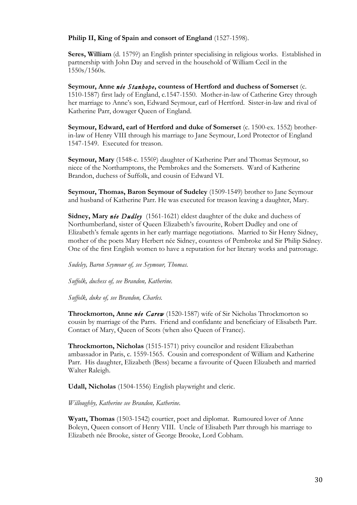#### **Philip II, King of Spain and consort of England** (1527-1598).

**Seres, William** (d. 1579?) an English printer specialising in religious works. Established in partnership with John Day and served in the household of William Cecil in the 1550s/1560s.

**Seymour, Anne** *née Stanhope***, countess of Hertford and duchess of Somerset** (c. 1510-1587) first lady of England, c.1547-1550. Mother-in-law of Catherine Grey through her marriage to Anne's son, Edward Seymour, earl of Hertford. Sister-in-law and rival of Katherine Parr, dowager Queen of England.

**Seymour, Edward, earl of Hertford and duke of Somerset** (c. 1500-ex. 1552) brotherin-law of Henry VIII through his marriage to Jane Seymour, Lord Protector of England 1547-1549. Executed for treason.

**Seymour, Mary** (1548-c. 1550?) daughter of Katherine Parr and Thomas Seymour, so niece of the Northamptons, the Pembrokes and the Somersets. Ward of Katherine Brandon, duchess of Suffolk, and cousin of Edward VI.

**Seymour, Thomas, Baron Seymour of Sudeley** (1509-1549) brother to Jane Seymour and husband of Katherine Parr. He was executed for treason leaving a daughter, Mary.

**Sidney, Mary** *née Dudley* (1561-1621) eldest daughter of the duke and duchess of Northumberland, sister of Queen Elizabeth's favourite, Robert Dudley and one of Elizabeth's female agents in her early marriage negotiations. Married to Sir Henry Sidney, mother of the poets Mary Herbert née Sidney, countess of Pembroke and Sir Philip Sidney. One of the first English women to have a reputation for her literary works and patronage.

*Sudeley, Baron Seymour of, see Seymour, Thomas.*

*Suffolk, duchess of, see Brandon, Katherine.*

*Suffolk, duke of, see Brandon, Charles.*

**Throckmorton, Anne** *née Carew* (1520-1587) wife of Sir Nicholas Throckmorton so cousin by marriage of the Parrs. Friend and confidante and beneficiary of Elisabeth Parr. Contact of Mary, Queen of Scots (when also Queen of France).

**Throckmorton, Nicholas** (1515-1571) privy councilor and resident Elizabethan ambassador in Paris, c. 1559-1565. Cousin and correspondent of William and Katherine Parr. His daughter, Elizabeth (Bess) became a favourite of Queen Elizabeth and married Walter Raleigh.

**Udall, Nicholas** (1504-1556) English playwright and cleric.

#### *Willoughby, Katherine see Brandon, Katherine.*

**Wyatt, Thomas** (1503-1542) courtier, poet and diplomat. Rumoured lover of Anne Boleyn, Queen consort of Henry VIII. Uncle of Elisabeth Parr through his marriage to Elizabeth née Brooke, sister of George Brooke, Lord Cobham.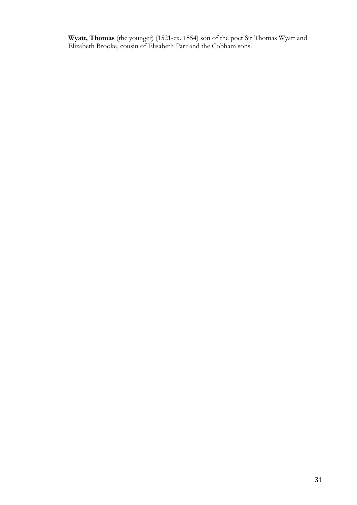**Wyatt, Thomas** (the younger) (1521-ex. 1554) son of the poet Sir Thomas Wyatt and Elizabeth Brooke, cousin of Elisabeth Parr and the Cobham sons.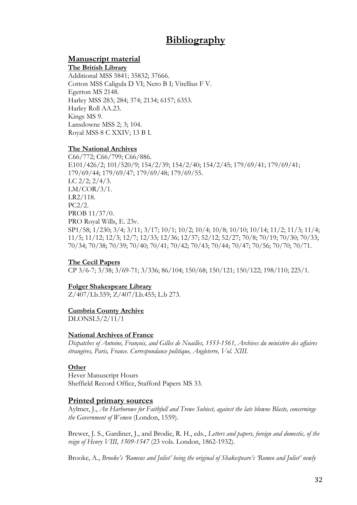## **Bibliography**

## **Manuscript material**

#### **The British Library**

Additional MSS 5841; 35832; 37666. Cotton MSS Caligula D VI; Nero B I; Vitellius F V. Egerton MS 2148. Harley MSS 283; 284; 374; 2134; 6157; 6353. Harley Roll AA.23. Kings MS 9. Lansdowne MSS 2; 3; 104. Royal MSS 8 C XXIV; 13 B I.

#### **The National Archives**

C66/772; C66/799; C66/886. E101/426/2; 101/520/9; 154/2/39; 154/2/40; 154/2/45; 179/69/41; 179/69/41; 179/69/44; 179/69/47; 179/69/48; 179/69/55. LC  $2/2$ ;  $2/4/3$ .  $LM/COR/3/1.$ LR2/118. PC2/2. PROB 11/37/0. PRO Royal Wills, E. 23v. SP1/58; 1/230; 3/4; 3/11; 3/17; 10/1; 10/2; 10/4; 10/8; 10/10; 10/14; 11/2; 11/3; 11/4; 11/5; 11/12; 12/3; 12/7; 12/33; 12/36; 12/37; 52/12; 52/27; 70/8; 70/19; 70/30; 70/33; 70/34; 70/38; 70/39; 70/40; 70/41; 70/42; 70/43; 70/44; 70/47; 70/56; 70/70; 70/71.

#### **The Cecil Papers**

CP 3/6-7; 3/38; 3/69-71; 3/336; 86/104; 150/68; 150/121; 150/122; 198/110; 225/1.

#### **Folger Shakespeare Library**

Z/407/Lb.559; Z/407/Lb.455; L.b 273.

#### **Cumbria County Archive**

DLONSL5/2/11/1

#### **National Archives of France**

*Dispatches of Antoine, François, and Gilles de Noailles, 1553-1561, Archives du ministère des affaires étrangères, Paris, France. Correspondance politique, Angleterre, Vol. XIII.* 

## **Other**

Hever Manuscript Hours Sheffield Record Office, Stafford Papers MS 33.

#### **Printed primary sources**

Aylmer, J., *An Harborowe for Faithfull and Trewe Subiect, against the late blowne Blaste, concerninge the Government of Wemen* (London, 1559).

Brewer, J. S., Gardiner, J., and Brodie, R. H., eds., *Letters and papers, foreign and domestic, of the reign of Henry VIII, 1509-1547* (23 vols. London, 1862-1932).

Brooke, A., *Brooke's 'Romeus and Juliet' being the original of Shakespeare's 'Romeo and Juliet' newly*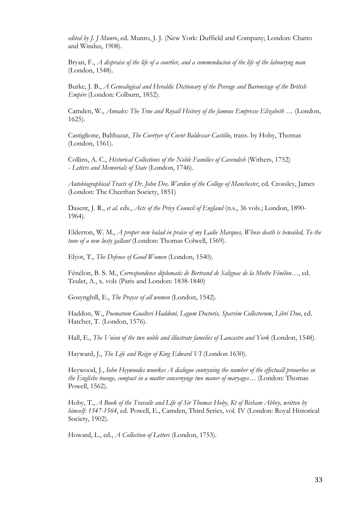*edited by J. J Munro*, ed. Munro, J. J. (New York: Duffield and Company; London: Chatto and Windus, 1908).

Bryan, F., *A dispraise of the life of a courtier, and a commendacion of the life of the labouryng man* (London, 1548).

Burke, J. B., *A Genealogical and Heraldic Dictionary of the Peerage and Baronetage of the British Empire* (London: Colburn, 1852).

Camden, W., Annales: The True and Royall History of the famous Empresse Elizabeth ... (London, 1625).

Castiglione, Balthazar, *The Covrtyer of Covnt Baldessar Castilio*, trans. by Hoby, Thomas (London, 1561).

Collins, A. C., *Historical Collections of the Noble Families of Cavendish* (Withers, 1752) - *Letters and Memorials of State* (London, 1746).

*Autobiographical Tracts of Dr. John Dee, Warden of the College of Manchester*, ed. Crossley, James (London: The Cheethan Society, 1851)

Dasent, J. R., *et al.* eds., *Acts of the Privy Council of England* (n.s., 36 vols.; London, 1890- 1964).

Elderton, W. M., *A proper new balad in praise of my Ladie Marques, Whose death is bewailed, To the tune of a new lusty gallant* (London: Thomas Colwell, 1569).

Elyot, T., *The Defence of Good Women* (London, 1540).

Fénélon, B. S. M., *Correspondence diplomatic de Bertrand de Salignac de la Mothe Fénélon…*, ed. Teulet, A., x. vols (Paris and London: 1838-1840)

Gosynghill, E., *The Prayse of all women* (London, 1542).

Haddon, W., *Poematum Gualteri Haddoni, Legum Doctoris, Sparsim Collectorum*, *Libri Duo*, ed. Hatcher, T. (London, 1576).

Hall, E., *The Vnion of the two noble and illustrate famelies of Lancastre and York* (London, 1548).

Hayward, J., *The Life and Reign of King Edward VI* (London 1630).

Heywood, J., *Iohn Heywoodes woorkes A dialogue conteyning the number of the effectuall prouerbes in the Englishe tounge, compact in a matter concernynge two maner of maryages*… (London: Thomas Powell, 1562).

Hoby, T., *A Book of the Travaile and Life of Sir Thomas Hoby, Kt of Bisham Abbey, written by himself: 1547-1564*, ed. Powell, E., Camden, Third Series, vol. IV (London: Royal Historical Society, 1902).

Howard, L., ed., *A Collection of Letters* (London, 1753).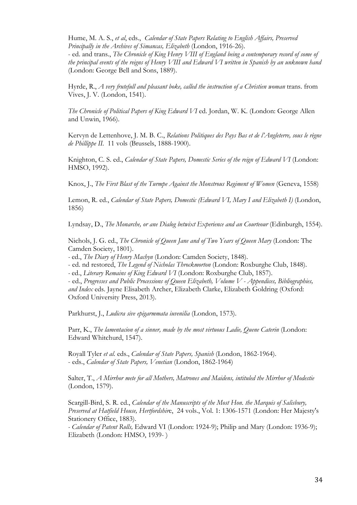Hume, M. A. S., *et al*, eds., *Calendar of State Papers Relating to English Affairs, Preserved Principally in the Archives of Simancas, Elizabeth* (London, 1916-26).

- ed. and trans., *The Chronicle of King Henry VIII of England being a contemporary record of some of the principal events of the reigns of Henry VIII and Edward VI written in Spanish by an unknown hand* (London: George Bell and Sons, 1889).

Hyrde, R., *A very frutefull and pleasant boke, called the instruction of a Christien woman trans.* from Vives, J. V. (London, 1541).

*The Chronicle of Political Papers of King Edward VI* ed. Jordan, W. K. (London: George Allen and Unwin, 1966).

Kervyn de Lettenhove, J. M. B. C., *Relations Politiques des Pays Bas et de l'Angleterre, sous le règne de Phillippe II.* 11 vols (Brussels, 1888-1900).

Knighton, C. S. ed., *Calendar of State Papers, Domestic Series of the reign of Edward VI* (London: HMSO, 1992).

Knox, J., *The First Blast of the Turmpe Against the Monstrous Regiment of Women* (Geneva, 1558)

Lemon, R. ed., *Calendar of State Papers, Domestic (Edward VI, Mary I and Elizabeth I)* (London, 1856)

Lyndsay, D., *The Monarche, or ane Dialog betwixt Experience and an Courteour* (Edinburgh, 1554).

Nichols, J. G. ed., *The Chronicle of Queen Jane and of Two Years of Queen Mary* (London: The Camden Society, 1801).

*-* ed., *The Diary of Henry Machyn* (London: Camden Society, 1848).

- ed. nd restored, *The Legend of Nicholas Throckmorton* (London: Roxburghe Club, 1848).

*-* ed., *Literary Remains of King Edward VI* (London: Roxburghe Club, 1857).

- ed., *Progresses and Public Processions of Queen Elizabeth, Volume V - Appendices, Bibliographies, and Index* eds. Jayne Elisabeth Archer, Elizabeth Clarke, Elizabeth Goldring (Oxford: Oxford University Press, 2013).

Parkhurst, J., *Ludicra sive epigarmmata iuvenilia* (London, 1573).

Parr, K., *The lamentacion of a sinner, made by the most virtuous Ladie, Quene Caterin* (London: Edward Whitchurd, 1547).

Royall Tyler *et al.* eds., *Calendar of State Papers, Spanish* (London, 1862-1964). - eds., *Calendar of State Papers, Venetian* (London, 1862-1964)

Salter, T., *A Mirrhor mete for all Mothers, Matrones and Maidens, intituled the Mirrhor of Modestie* (London, 1579).

Scargill-Bird, S. R. ed., *Calendar of the Manuscripts of the Most Hon. the Marquis of Salisbury, Preserved at Hatfield House, Hertfordshir*e, 24 vols., Vol. 1: 1306-1571 (London: Her Majesty's Stationery Office, 1883).

*- Calendar of Patent Rolls,* Edward VI (London: 1924-9); Philip and Mary (London: 1936-9); Elizabeth (London: HMSO, 1939- )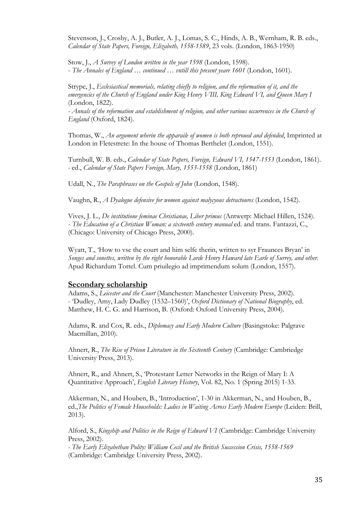Stevenson, J., Crosby, A. J., Butler, A. J., Lomas, S. C., Hinds, A. B., Wernham, R. B. eds., *Calendar of State Papers, Foreign, Elizabeth, 1558-1589*, 23 vols. (London, 1863-1950)

Stow, J., *A Survey of London written in the year 1598* (London, 1598). - *The Annales of England … continued … vntill this present yeare 1601* (London, 1601).

Strype, J., *Ecclesiastical memorials, relating chiefly to religion, and the reformation of it, and the emergencies of the Church of England under King Henry VIII, King Edward VI, and Queen Mary I*  (London, 1822).

*- Annals of the reformation and establishment of religion, and other various occurrences in the Church of England* (Oxford, 1824).

Thomas, W., *An argument wherin the apparaile of women is both reproued and defended*, Imprinted at London in Fletestrete: In the house of Thomas Berthelet (London, 1551).

Turnbull, W. B. eds., *Calendar of State Papers, Foreign, Edward VI, 1547-1553* (London, 1861). *-* ed., *Calendar of State Papers Foreign, Mary, 1553-1558* (London, 1861)

Udall, N., *The Paraphrases on the Gospels of John* (London, 1548).

Vaughn, R., *A Dyalogue defensive for women against malycyous detractoures* (London, 1542).

Vives, J. L., *De institutione feminae Christianae, Liber primus* (Antwerp: Michael Hillen, 1524). - *The Education of a Christian Woman: a sixteenth century manual* ed. and trans. Fantazzi, C., (Chicago: University of Chicago Press, 2000).

Wyatt, T., 'How to vse the court and him selfe therin, written to syr Fraunces Bryan' in *Songes and sonettes, written by the right honorable Lorde Henry Haward late Earle of Surrey, and other.* Apud Richardum Tottel. Cum priuilegio ad imprimendum solum (London, 1557).

#### **Secondary scholarship**

Adams, S., *Leicester and the Court* (Manchester: Manchester University Press, 2002). - 'Dudley, Amy, Lady Dudley (1532–1560)', *Oxford Dictionary of National Biography*, ed. Matthew, H. C. G. and Harrison, B. (Oxford: Oxford University Press, 2004).

Adams, R. and Cox, R. eds., *Diplomacy and Early Modern Culture* (Basingstoke: Palgrave Macmillan, 2010).

Ahnert, R., *The Rise of Prison Literature in the Sixteenth Century* (Cambridge: Cambriedge University Press, 2013).

Ahnert, R., and Ahnert, S., 'Protestant Letter Networks in the Reign of Mary I: A Quantitative Approach', *English Literary History*, Vol. 82, No. 1 (Spring 2015) 1-33.

Akkerman, N., and Houben, B., 'Introduction', 1-30 in Akkerman, N., and Houben, B., ed., The Politics of Female Households: Ladies in Waiting Across Early Modern Europe (Leiden: Brill, 2013).

Alford, S., *Kingship and Politics in the Reign of Edward VI* (Cambridge: Cambridge University Press, 2002).

*- The Early Elizabethan Polity: William Cecil and the British Succession Crisis, 1558-1569* (Cambridge: Cambridge University Press, 2002).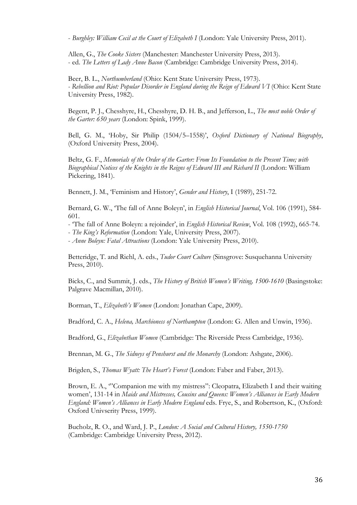- *Burghley: William Cecil at the Court of Elizabeth I* (London: Yale University Press, 2011).

Allen, G., *The Cooke Sisters* (Manchester: Manchester University Press, 2013). - ed. *The Letters of Lady Anne Bacon* (Cambridge: Cambridge University Press, 2014).

Beer, B. L., *Northumberland* (Ohio: Kent State University Press, 1973). *- Rebellion and Riot: Popular Disorder in England during the Reign of Edward VI* (Ohio: Kent State University Press, 1982).

Begent, P. J., Chesshyre, H., Chesshyre, D. H. B., and Jefferson, L., *The most noble Order of the Garter: 650 years* (London: Spink, 1999).

Bell, G. M., 'Hoby, Sir Philip (1504/5–1558)', *Oxford Dictionary of National Biography*, (Oxford University Press, 2004).

Beltz, G. F., *Memorials of the Order of the Garter: From Its Foundation to the Present Time; with Biographical Notices of the Knights in the Reigns of Edward III and Richard II* (London: William Pickering, 1841).

Bennett, J. M., 'Feminism and History', *Gender and History*, I (1989), 251-72.

Bernard, G. W., 'The fall of Anne Boleyn', in *English Historical Journal*, Vol. 106 (1991), 584- 601.

- 'The fall of Anne Boleyn: a rejoinder', in *English Historical Review*, Vol. 108 (1992), 665-74.

- *The King's Reformation* (London: Yale, University Press, 2007).

- *Anne Boleyn: Fatal Attractions* (London: Yale University Press, 2010).

Betteridge, T. and Riehl, A. eds., *Tudor Court Culture* (Sinsgrove: Susquehanna University Press, 2010).

Bicks, C., and Summit, J. eds., *The History of British Women's Writing, 1500-1610* (Basingstoke: Palgrave Macmillan, 2010).

Borman, T., *Elizabeth's Women* (London: Jonathan Cape, 2009).

Bradford, C. A., *Helena, Marchioness of Northampton* (London: G. Allen and Unwin, 1936).

Bradford, G., *Elizabethan Women* (Cambridge: The Riverside Press Cambridge, 1936).

Brennan, M. G., *The Sidneys of Penshurst and the Monarchy* (London: Ashgate, 2006).

Brigden, S., *Thomas Wyatt: The Heart's Forest* (London: Faber and Faber, 2013).

Brown, E. A., "Companion me with my mistress": Cleopatra, Elizabeth I and their waiting women', 131-14 in *Maids and Mistresses, Cousins and Queens: Women's Alliances in Early Modern England: Women's Alliances in Early Modern England* eds. Frye, S., and Robertson, K., (Oxford: Oxford Univserity Press, 1999).

Bucholz, R. O., and Ward, J. P., *London: A Social and Cultural History, 1550-1750* (Cambridge: Cambridge University Press, 2012).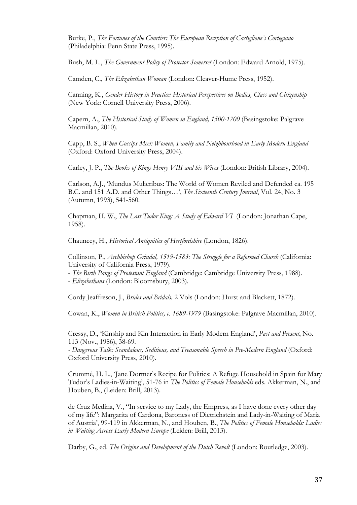Burke, P., *The Fortunes of the Courtier: The European Reception of Castiglione's Cortegiano* (Philadelphia: Penn State Press, 1995).

Bush, M. L., *The Government Policy of Protector Somerset* (London: Edward Arnold, 1975).

Camden, C., *The Elizabethan Woman* (London: Cleaver-Hume Press, 1952).

Canning, K., *Gender History in Practice: Historical Perspectives on Bodies, Class and Citizenship* (New York: Cornell University Press, 2006).

Capern, A., *The Historical Study of Women in England, 1500-1700* (Basingstoke: Palgrave Macmillan, 2010).

Capp, B. S., *When Gossips Meet: Women, Family and Neighbourhood in Early Modern England* (Oxford: Oxford University Press, 2004).

Carley, J. P., *The Books of Kings Henry VIII and his Wives* (London: British Library, 2004).

Carlson, A.J., 'Mundus Mulieribus: The World of Women Reviled and Defended ca. 195 B.C. and 151 A.D. and Other Things…', *The Sixteenth Century Journal*, Vol. 24, No. 3 (Autumn, 1993), 541-560.

Chapman, H. W., *The Last Tudor King: A Study of Edward VI* (London: Jonathan Cape, 1958).

Chauncey, H., *Historical Antiquities of Hertfordshire* (London, 1826).

Collinson, P., *Archbishop Grindal, 1519-1583: The Struggle for a Reformed Church* (California: University of California Press, 1979).

- *The Birth Pangs of Protestant England* (Cambridge: Cambridge University Press, 1988).

- *Elizabethans* (London: Bloomsbury, 2003).

Cordy Jeaffreson, J., *Brides and Bridals,* 2 Vols (London: Hurst and Blackett, 1872).

Cowan, K., *Women in British Politics, c. 1689-1979* (Basingstoke: Palgrave Macmillan, 2010).

Cressy, D., 'Kinship and Kin Interaction in Early Modern England', *Past and Present*, No. 113 (Nov., 1986), 38-69.

*- Dangerous Talk: Scandalous, Seditious, and Treasonable Speech in Pre-Modern England* (Oxford: Oxford University Press, 2010).

Crummé, H. L., 'Jane Dormer's Recipe for Politics: A Refuge Household in Spain for Mary Tudor's Ladies-in-Waiting', 51-76 in *The Politics of Female Households* eds. Akkerman, N., and Houben, B., (Leiden: Brill, 2013).

de Cruz Medina, V., "In service to my Lady, the Empress, as I have done every other day of my life": Margarita of Cardona, Baroness of Dietrichstein and Lady-in-Waiting of Maria of Austria', 99-119 in Akkerman, N., and Houben, B., *The Politics of Female Households: Ladies in Waiting Across Early Modern Europe* (Leiden: Brill, 2013).

Darby, G., ed. *The Origins and Development of the Dutch Revolt* (London: Routledge, 2003).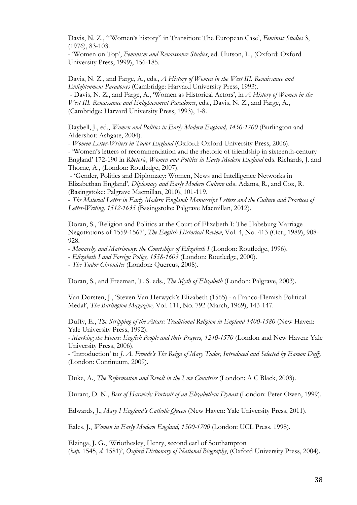Davis, N. Z., '"Women's history" in Transition: The European Case', *Feminist Studies* 3, (1976), 83-103.

- 'Women on Top', *Feminism and Renaissance Studies*, ed. Hutson, L., (Oxford: Oxford University Press, 1999), 156-185.

Davis, N. Z., and Farge, A., eds., *A History of Women in the West III. Renaissance and Enlightenment Paradoxes* (Cambridge: Harvard University Press, 1993). - Davis, N. Z., and Farge, A., 'Women as Historical Actors', in *A History of Women in the West III. Renaissance and Enlightenment Paradoxes*, eds., Davis, N. Z., and Farge, A., (Cambridge: Harvard University Press, 1993), 1-8.

Daybell, J., ed., *Women and Politics in Early Modern England, 1450-1700* (Burlington and Aldershot: Ashgate, 2004).

- *Women Letter-Writers in Tudor England* (Oxford: Oxford University Press, 2006).

- 'Women's letters of recommendation and the rhetoric of friendship in sixteenth-century England' 172-190 in *Rhetoric, Women and Politics in Early Modern England* eds. Richards, J. and Thorne, A., (London: Routledge, 2007).

- 'Gender, Politics and Diplomacy: Women, News and Intelligence Networks in Elizabethan England', *Diplomacy and Early Modern Culture* eds. Adams, R., and Cox, R. (Basingstoke: Palgrave Macmillan, 2010), 101-119.

- *The Material Letter in Early Modern England: Manuscript Letters and the Culture and Practices of Letter-Writing, 1512-1635* (Basingstoke: Palgrave Macmillan, 2012).

Doran, S., 'Religion and Politics at the Court of Elizabeth I: The Habsburg Marriage Negotiations of 1559-1567', *The English Historical Review*, Vol. 4, No. 413 (Oct., 1989), 908- 928.

- *Monarchy and Matrimony: the Courtships of Elizabeth I* (London: Routledge, 1996).

- *Elizabeth I and Foreign Policy, 1558-1603* (London: Routledge, 2000).

- *The Tudor Chronicles* (London: Quercus, 2008).

Doran, S., and Freeman, T. S. eds., *The Myth of Elizabeth* (London: Palgrave, 2003).

Van Dorsten, J., 'Steven Van Herwyck's Elizabeth (1565) - a Franco-Flemish Political Medal', *The Burlington Magazine,* Vol. 111, No. 792 (March, 1969), 143-147.

Duffy, E., *The Stripping of the Altars: Traditional Religion in England 1400-1580* (New Haven: Yale University Press, 1992).

*- Marking the Hours: English People and their Prayers, 1240-1570* (London and New Haven: Yale University Press, 2006).

- 'Introduction' to *J. A. Froude's The Reign of Mary Tudor*, *Introduced and Selected by Eamon Duffy* (London: Continuum, 2009).

Duke, A., *The Reformation and Revolt in the Low Countries* (London: A C Black, 2003).

Durant, D. N., *Bess of Harwick: Portrait of an Elizabethan Dynast* (London: Peter Owen, 1999).

Edwards, J., *Mary I England's Catholic Queen* (New Haven: Yale University Press, 2011).

Eales, J., *Women in Early Modern England, 1500-1700* (London: UCL Press, 1998).

Elzinga, J. G., 'Wriothesley, Henry, second earl of Southampton (*bap.* 1545, *d.* 1581)', *Oxford Dictionary of National Biography*, (Oxford University Press, 2004).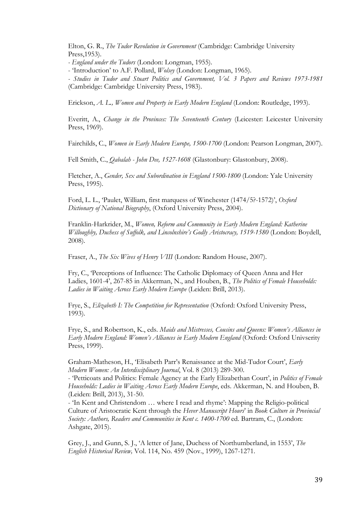Elton, G. R., *The Tudor Revolution in Government* (Cambridge: Cambridge University Press,1953).

*- England under the Tudors* (London: Longman, 1955).

- 'Introduction' to A.F. Pollard, *Wolsey* (London: Longman, 1965).

*- Studies in Tudor and Stuart Politics and Government, Vol. 3 Papers and Reviews 1973-1981* (Cambridge: Cambridge University Press, 1983).

Erickson, *A. L., Women and Property in Early Modern England* (London: Routledge, 1993).

Everitt, A., *Change in the Provinces: The Seventeenth Century* (Leicester: Leicester University Press, 1969).

Fairchilds, C., *Women in Early Modern Europe, 1500-1700* (London: Pearson Longman, 2007).

Fell Smith, C., *Qabalah - John Dee, 1527-1608* (Glastonbury: Glastonbury, 2008).

Fletcher, A., *Gender, Sex and Subordination in England 1500-1800* (London: Yale University Press, 1995).

Ford, L. L., 'Paulet, William, first marquess of Winchester (1474/5?-1572)', *Oxford Dictionary of National Biography*, (Oxford University Press, 2004).

Franklin-Harkrider, M., *Women, Reform and Community in Early Modern England: Katherine Willoughby, Duchess of Suffolk, and Lincolnshire's Godly Aristocracy, 1519-1580* (London: Boydell, 2008).

Fraser, A., *The Six Wives of Henry VIII* (London: Random House, 2007).

Fry, C., 'Perceptions of Influence: The Catholic Diplomacy of Queen Anna and Her Ladies, 1601-4', 267-85 in Akkerman, N., and Houben, B., *The Politics of Female Households: Ladies in Waiting Across Early Modern Europe* (Leiden: Brill, 2013).

Frye, S., *Elizabeth I: The Competition for Representation* (Oxford: Oxford University Press, 1993).

Frye, S., and Robertson, K., eds. *Maids and Mistresses, Cousins and Queens: Women's Alliances in Early Modern England: Women's Alliances in Early Modern England* (Oxford: Oxford Univserity Press, 1999).

Graham-Matheson, H., 'Elisabeth Parr's Renaissance at the Mid-Tudor Court', *Early Modern Women: An Interdisciplinary Journal*, Vol. 8 (2013) 289-300.

- 'Petticoats and Politics: Female Agency at the Early Elizabethan Court', in *Politics of Female Households: Ladies in Waiting Across Early Modern Europe*, eds. Akkerman, N. and Houben, B. (Leiden: Brill, 2013), 31-50.

- 'In Kent and Christendom … where I read and rhyme': Mapping the Religio-political Culture of Aristocratic Kent through the *Hever Manuscript Hours*' in *Book Culture in Provincial Society: Authors, Readers and Communities in Kent c. 1400-1700* ed. Bartram, C., (London: Ashgate, 2015).

Grey, J., and Gunn, S. J., 'A letter of Jane, Duchess of Northumberland, in 1553', *The English Historical Review,* Vol. 114, No. 459 (Nov., 1999), 1267-1271.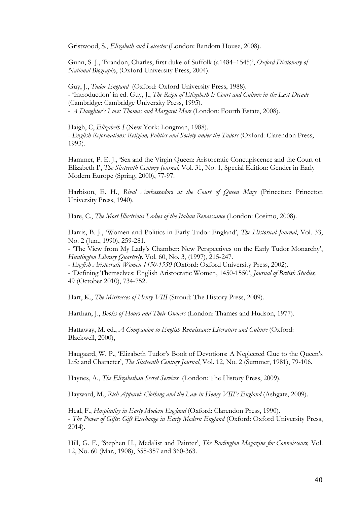Gristwood, S., *Elizabeth and Leicester* (London: Random House, 2008).

Gunn, S. J., 'Brandon, Charles, first duke of Suffolk (*c.*1484–1545)', *Oxford Dictionary of National Biography*, (Oxford University Press, 2004).

Guy, J., *Tudor England* (Oxford: Oxford University Press, 1988). - 'Introduction' in ed. Guy, J., *The Reign of Elizabeth I: Court and Culture in the Last Decade* (Cambridge: Cambridge University Press, 1995). - *A Daughter's Love: Thomas and Margaret More* (London: Fourth Estate, 2008).

Haigh, C, *Elizabeth I* (New York: Longman, 1988). - *English Reformations: Religion, Politics and Society under the Tudors* (Oxford: Clarendon Press, 1993).

Hammer, P. E. J., 'Sex and the Virgin Queen: Aristocratic Concupiscence and the Court of Elizabeth I', *The Sixteenth Century Journal*, Vol. 31, No. 1, Special Edition: Gender in Early Modern Europe (Spring, 2000), 77-97.

Harbison, E. H., Rival Ambassadors at the Court of Queen Mary (Princeton: Princeton University Press, 1940).

Hare, C., *The Most Illustrious Ladies of the Italian Renaissance* (London: Cosimo, 2008).

Harris, B. J., 'Women and Politics in Early Tudor England', *The Historical Journal*, Vol. 33, No. 2 (Jun., 1990), 259-281.

- 'The View from My Lady's Chamber: New Perspectives on the Early Tudor Monarchy', *Huntington Library Quarterly,* Vol. 60, No. 3, (1997), 215-247.

- *English Aristocratic Women 1450-1550* (Oxford: Oxford University Press, 2002).

- 'Defining Themselves: English Aristocratic Women, 1450-1550', *Journal of British Studies,*  49 (October 2010), 734-752.

Hart, K., *The Mistresses of Henry VIII* (Stroud: The History Press, 2009).

Harthan, J., *Books of Hours and Their Owners* (London: Thames and Hudson, 1977).

Hattaway, M. ed., *A Companion to English Renaissance Literature and Culture* (Oxford: Blackwell, 2000),

Haugaard, W. P., 'Elizabeth Tudor's Book of Devotions: A Neglected Clue to the Queen's Life and Character', *The Sixteenth Century Journal*, Vol. 12, No. 2 (Summer, 1981), 79-106.

Haynes, A., *The Elizabethan Secret Services* (London: The History Press, 2009).

Hayward, M., *Rich Apparel: Clothing and the Law in Henry VIII's England* (Ashgate, 2009).

Heal, F., *Hospitality in Early Modern England* (Oxford: Clarendon Press, 1990). - *The Power of Gifts: Gift Exchange in Early Modern England* (Oxford: Oxford University Press, 2014).

Hill, G. F., 'Stephen H., Medalist and Painter', *The Burlington Magazine for Connoisseurs,* Vol. 12, No. 60 (Mar., 1908), 355-357 and 360-363.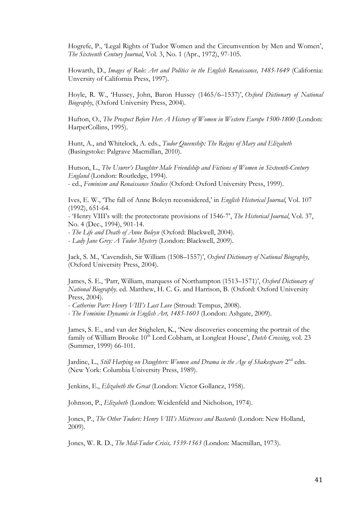Hogrefe, P., 'Legal Rights of Tudor Women and the Circumvention by Men and Women', *The Sixteenth Century Journal*, Vol. 3, No. 1 (Apr., 1972), 97-105.

Howarth, D., *Images of Rule: Art and Politics in the English Renaissance, 1485-1649* (California: Unversity of California Press, 1997).

Hoyle, R. W., 'Hussey, John, Baron Hussey (1465/6–1537)', *Oxford Dictionary of National Biography*, (Oxford University Press, 2004).

Hufton, O., *The Prospect Before Her*: *A History of Women in Western Europe 1500-1800* (London: HarperCollins, 1995).

Hunt, A., and Whitelock, A. eds., *Tudor Queenship: The Reigns of Mary and Elizabeth* (Basingstoke: Palgrave Macmillan, 2010).

Hutson, L., *The Usurer's Daughter Male Friendship and Fictions of Women in Sixteenth-Century England* (London: Routledge, 1994). - ed., *Feminism and Renaissance Studies* (Oxford: Oxford University Press, 1999).

Ives, E. W., 'The fall of Anne Boleyn reconsidered,' in *English Historical Journal*, Vol. 107 (1992), 651-64.

- 'Henry VIII's will: the protectorate provisions of 1546-7', *The Historical Journal*, Vol. 37, No. 4 (Dec., 1994), 901-14.

*- The Life and Death of Anne Boleyn* (Oxford: Blackwell, 2004).

- *Lady Jane Grey: A Tudor Mystery* (London: Blackwell, 2009).

Jack, S. M., 'Cavendish, Sir William (1508–1557)', *Oxford Dictionary of National Biography*, (Oxford University Press, 2004).

James, S. E., 'Parr, William, marquess of Northampton (1513–1571)', *Oxford Dictionary of National Biography*. ed. Matthew, H. C. G. and Harrison, B. (Oxford: Oxford University Press, 2004).

- *Catherine Parr: Henry VIII's Last Love* (Stroud: Tempus, 2008).

*- The Feminine Dynamic in English Art, 1485-1603* (London: Ashgate, 2009).

James, S. E., and van der Stighelen, K., 'New discoveries concerning the portrait of the family of William Brooke 10<sup>th</sup> Lord Cobham, at Longleat House', *Dutch Crossing*, vol. 23 (Summer, 1999) 66-101.

Jardine, L., Still Harping on Daughters: Women and Drama in the Age of Shakespeare 2<sup>nd</sup> edn. (New York: Columbia University Press, 1989).

Jenkins, E., *Elizabeth the Great* (London: Victor Gollancz, 1958).

Johnson, P., *Elizabeth* (London: Weidenfeld and Nicholson, 1974).

Jones, P., *The Other Tudors: Henry VIII's Mistresses and Bastards* (London: New Holland, 2009).

Jones, W. R. D., *The Mid-Tudor Crisis, 1539-1563* (London: Macmillan, 1973).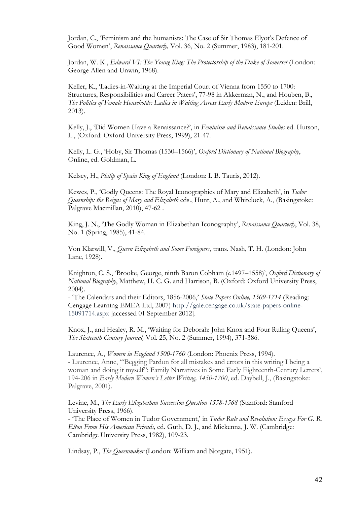Jordan, C., 'Feminism and the humanists: The Case of Sir Thomas Elyot's Defence of Good Women', *Renaissance Quarterly,* Vol. 36, No. 2 (Summer, 1983), 181-201.

Jordan, W. K., *Edward VI: The Young King: The Protectorship of the Duke of Somerset* (London: George Allen and Unwin, 1968).

Keller, K., 'Ladies-in-Waiting at the Imperial Court of Vienna from 1550 to 1700: Structures, Responsibilities and Career Paters', 77-98 in Akkerman, N., and Houben, B., *The Politics of Female Households: Ladies in Waiting Across Early Modern Europe* (Leiden: Brill, 2013).

Kelly, J., 'Did Women Have a Renaissance?', in *Feminism and Renaissance Studies* ed. Hutson, L., (Oxford: Oxford University Press, 1999), 21-47.

Kelly, L. G., 'Hoby, Sir Thomas (1530–1566)', *Oxford Dictionary of National Biography*, Online, ed. Goldman, L.

Kelsey, H., *Philip of Spain King of England* (London: I. B. Tauris, 2012).

Kewes, P., 'Godly Queens: The Royal Iconographies of Mary and Elizabeth', in *Tudor Queenship: the Reigns of Mary and Elizabeth* eds., Hunt, A., and Whitelock, A., (Basingstoke: Palgrave Macmillan, 2010), 47-62 .

King, J. N., 'The Godly Woman in Elizabethan Iconography', *Renaissance Quarterly*, Vol. 38, No. 1 (Spring, 1985), 41-84.

Von Klarwill, V., *Queen Elizabeth and Some Foreigners*, trans. Nash, T. H. (London: John Lane, 1928).

Knighton, C. S., 'Brooke, George, ninth Baron Cobham (*c.*1497–1558)', *Oxford Dictionary of National Biography*, Matthew, H. C. G. and Harrison, B. (Oxford: Oxford University Press, 2004).

- 'The Calendars and their Editors, 1856-2006,' *State Papers Online, 1509-1714* (Reading: Cengage Learning EMEA Ltd, 2007) http://gale.cengage.co.uk/state-papers-online-15091714.aspx [accessed 01 September 2012].

Knox, J., and Healey, R. M., 'Waiting for Deborah: John Knox and Four Ruling Queens', *The Sixteenth Century Journal,* Vol. 25, No. 2 (Summer, 1994), 371-386.

Laurence, A., *Women in England 1500-1760* (London: Phoenix Press, 1994). - Laurence, Anne, '"Begging Pardon for all mistakes and errors in this writing I being a woman and doing it myself": Family Narratives in Some Early Eighteenth-Century Letters', 194-206 in *Early Modern Women's Letter Writing, 1450-1700*, ed. Daybell, J., (Basingstoke: Palgrave, 2001).

Levine, M., *The Early Elizabethan Succession Question 1558-1568* (Stanford: Stanford University Press, 1966).

- 'The Place of Women in Tudor Government,' in *Tudor Rule and Revolution: Essays For G. R. Elton From His American Friends,* ed. Guth, D. J., and Mickenna, J. W. (Cambridge: Cambridge University Press, 1982), 109-23.

Lindsay, P., *The Queenmaker* (London: William and Norgate, 1951).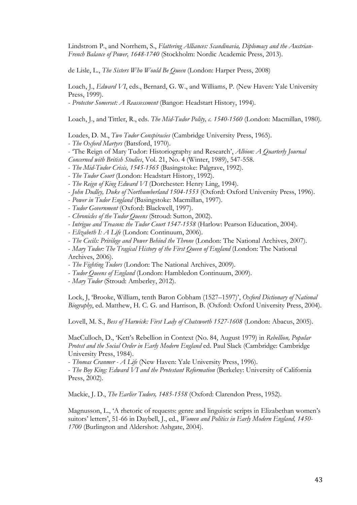Lindstrom P., and Norrhem, S., *Flattering Alliances: Scandinavia, Diplomacy and the Austrian-French Balance of Power, 1648-1740* (Stockholm: Nordic Academic Press, 2013).

de Lisle, L., *The Sisters Who Would Be Queen* (London: Harper Press, 2008)

Loach, J., *Edward VI*, eds., Bernard, G. W., and Williams, P. (New Haven: Yale University Press, 1999).

- *Protector Somerset: A Reassessment* (Bangor: Headstart History, 1994).

Loach, J., and Tittler, R., eds. *The Mid-Tudor Polity, c. 1540-1560* (London: Macmillan, 1980).

Loades, D. M., *Two Tudor Conspiracies* (Cambridge University Press, 1965).

- *The Oxford Martyrs* (Batsford, 1970).
- 'The Reign of Mary Tudor: Historiography and Research', *Albion: A Quarterly Journal*
- *Concerned with British Studies*, Vol. 21, No. 4 (Winter, 1989), 547-558.
- *The Mid-Tudor Crisis, 1545-1565* (Basingstoke: Palgrave, 1992).
- *The Tudor Court* (London: Headstart History, 1992).
- *The Reign of King Edward VI* (Dorchester: Henry Ling, 1994).
- *John Dudley, Duke of Northumberland 1504-1553* (Oxford: Oxford University Press, 1996).
- *Power in Tudor England* (Basingstoke: Macmillan, 1997).
- *Tudor Government* (Oxford: Blackwell, 1997).
- *Chronicles of the Tudor Queens* (Stroud: Sutton, 2002).
- *Intrigue and Treason: the Tudor Court 1547-1558* (Harlow: Pearson Education, 2004).
- *Elizabeth I: A Life* (London: Continuum, 2006).
- *The Cecils: Privilege and Power Behind the Throne* (London: The National Archives, 2007).
- *Mary Tudor: The Tragical History of the First Queen of England* (London: The National

Archives, 2006).

- *The Fighting Tudors* (London: The National Archives, 2009).
- *Tudor Queens of England* (London: Hambledon Continuum, 2009).
- *Mary Tudor* (Stroud: Amberley, 2012).

Lock, J, 'Brooke, William, tenth Baron Cobham (1527–1597)', *Oxford Dictionary of National Biography*, ed. Matthew, H. C. G. and Harrison, B. (Oxford: Oxford University Press, 2004).

Lovell, M. S., *Bess of Harwick: First Lady of Chatsworth 1527-1608* (London: Abacus, 2005).

MacCulloch, D., 'Kett's Rebellion in Context (No. 84, August 1979) in *Rebellion, Popular Protest and the Social Order in Early Modern England* ed. Paul Slack (Cambridge: Cambridge University Press, 1984).

- *Thomas Cranmer - A Life* (New Haven: Yale University Press, 1996).

- *The Boy King: Edward VI and the Protestant Reformation* (Berkeley: University of California Press, 2002).

Mackie, J. D., *The Earlier Tudors, 1485-1558* (Oxford: Clarendon Press, 1952).

Magnusson, L., 'A rhetoric of requests: genre and linguistic scripts in Elizabethan women's suitors' letters', 51-66 in Daybell, J., ed., *Women and Politics in Early Modern England, 1450- 1700* (Burlington and Aldershot: Ashgate, 2004).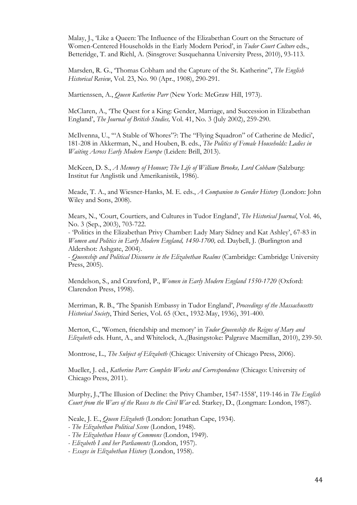Malay, J., 'Like a Queen: The Influence of the Elizabethan Court on the Structure of Women-Centered Households in the Early Modern Period', in *Tudor Court Culture* eds., Betteridge, T. and Riehl, A. (Sinsgrove: Susquehanna University Press, 2010), 93-113.

Marsden, R. G., 'Thomas Cobham and the Capture of the St. Katherine'', *The English Historical Review*, Vol. 23, No. 90 (Apr., 1908), 290-291.

Martienssen, A., *Queen Katherine Parr* (New York: McGraw Hill, 1973).

McClaren, A., 'The Quest for a King: Gender, Marriage, and Succession in Elizabethan England', *The Journal of British Studies,* Vol. 41, No. 3 (July 2002), 259-290.

McIlvenna, U., '"A Stable of Whores"?: The "Flying Squadron" of Catherine de Medici', 181-208 in Akkerman, N., and Houben, B. eds., *The Politics of Female Households: Ladies in Waiting Across Early Modern Europe* (Leiden: Brill, 2013).

McKeen, D. S., *A Memory of Honour; The Life of William Brooke, Lord Cobham (Salzburg:* Institut fur Anglistik und Amerikanistik, 1986).

Meade, T. A., and Wiesner-Hanks, M. E. eds., *A Companion to Gender History* (London: John Wiley and Sons, 2008).

Mears, N., 'Court, Courtiers, and Cultures in Tudor England', *The Historical Journal*, Vol. 46, No. 3 (Sep., 2003), 703-722.

- 'Politics in the Elizabethan Privy Chamber: Lady Mary Sidney and Kat Ashley', 67-83 in *Women and Politics in Early Modern England, 1450-1700, ed. Daybell, J. (Burlington and* Aldershot: Ashgate, 2004).

- *Queenship and Political Discourse in the Elizabethan Realms* (Cambridge: Cambridge University Press, 2005).

Mendelson, S., and Crawford, P., *Women in Early Modern England 1550-1720* (Oxford: Clarendon Press, 1998).

Merriman, R. B., 'The Spanish Embassy in Tudor England', *Proceedings of the Massachusetts Historical Society*, Third Series, Vol. 65 (Oct., 1932-May, 1936), 391-400.

Merton, C., 'Women, friendship and memory' in *Tudor Queenship the Reigns of Mary and Elizabeth* eds. Hunt, A., and Whitelock, A.,(Basingstoke: Palgrave Macmillan, 2010), 239-50.

Montrose, L., *The Subject of Elizabeth* (Chicago: University of Chicago Press, 2006).

Mueller, J. ed., *Katherine Parr: Complete Works and Correspondence* (Chicago: University of Chicago Press, 2011).

Murphy, J.,'The Illusion of Decline: the Privy Chamber, 1547-1558', 119-146 in *The English Court from the Wars of the Roses to the Civil War* ed. Starkey, D., (Longman: London, 1987).

Neale, J. E., *Queen Elizabeth* (London: Jonathan Cape, 1934).

- *The Elizabethan Political Scene* (London, 1948).
- *The Elizabethan House of Commons* (London, 1949).
- *Elizabeth I and her Parliaments* (London, 1957).
- *Essays in Elizabethan History* (London, 1958).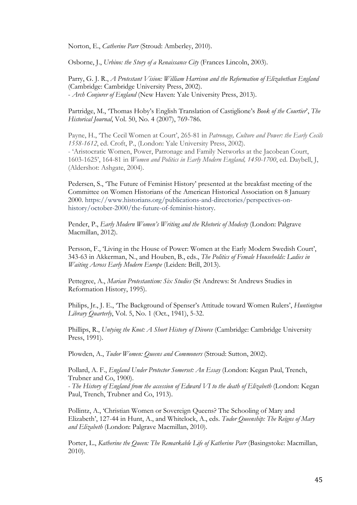Norton, E., *Catherine Parr* (Stroud: Amberley, 2010).

Osborne, J., *Urbino: the Story of a Renaissance City* (Frances Lincoln, 2003).

Parry, G. J. R., *A Protestant Vision: William Harrison and the Reformation of Elizabethan England* (Cambridge: Cambridge University Press, 2002). - *Arch Conjurer of England* (New Haven: Yale University Press, 2013).

Partridge, M., 'Thomas Hoby's English Translation of Castiglione's *Book of the Courtier*', *The Historical Journal*, Vol. 50, No. 4 (2007), 769-786.

Payne, H., 'The Cecil Women at Court', 265-81 in *Patronage, Culture and Power: the Early Cecils 1558-1612*, ed. Croft, P., (London: Yale University Press, 2002). - 'Aristocratic Women, Power, Patronage and Family Networks at the Jacobean Court, 1603-1625', 164-81 in *Women and Politics in Early Modern England, 1450-1700*, ed. Daybell, J, (Aldershot: Ashgate, 2004).

Pedersen, S., 'The Future of Feminist History' presented at the breakfast meeting of the Committee on Women Historians of the American Historical Association on 8 January 2000. https://www.historians.org/publications-and-directories/perspectives-onhistory/october-2000/the-future-of-feminist-history.

Pender, P., *Early Modern Women's Writing and the Rhetoric of Modesty* (London: Palgrave Macmillan, 2012).

Persson, F., 'Living in the House of Power: Women at the Early Modern Swedish Court', 343-63 in Akkerman, N., and Houben, B., eds., *The Politics of Female Households: Ladies in Waiting Across Early Modern Europe* (Leiden: Brill, 2013).

Pettegree, A., *Marian Protestantism: Six Studies* (St Andrews: St Andrews Studies in Reformation History, 1995).

Philips, Jr., J. E., 'The Background of Spenser's Attitude toward Women Rulers', *Huntington Library Quarterly*, Vol. 5, No. 1 (Oct., 1941), 5-32.

Phillips, R., *Untying the Knot: A Short History of Divorce* (Cambridge: Cambridge University Press, 1991).

Plowden, A., *Tudor Women: Queens and Commoners* (Stroud: Sutton, 2002).

Pollard, A. F., *England Under Protector Somerset: An Essay* (London: Kegan Paul, Trench, Trubner and Co, 1900).

*- The History of England from the accession of Edward VI to the death of Elizabeth* (London: Kegan Paul, Trench, Trubner and Co, 1913).

Pollintz, A., 'Christian Women or Sovereign Queens? The Schooling of Mary and Elizabeth', 127-44 in Hunt, A., and Whitelock, A., eds. *Tudor Queenship: The Reigns of Mary and Elizabeth* (London: Palgrave Macmillan, 2010).

Porter, L., *Katherine the Queen: The Remarkable Life of Katherine Parr* (Basingstoke: Macmillan, 2010).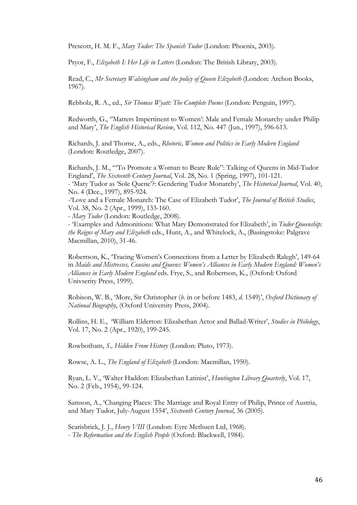Prescott, H. M. F., *Mary Tudor: The Spanish Tudor* (London: Phoenix, 2003).

Pryor, F., *Elizabeth I: Her Life in Letters* (London: The British Library, 2003).

Read, C., *Mr Secretary Walsingham and the policy of Queen Elizabeth* (London: Archon Books, 1967).

Rebholz, R. A., ed., *Sir Thomas Wyatt: The Complete Poems* (London: Penguin, 1997).

Redworth, G., ''Matters Impertinent to Women': Male and Female Monarchy under Philip and Mary', *The English Historical Review*, Vol. 112, No. 447 (Jun., 1997), 596-613.

Richards, J. and Thorne, A., eds., *Rhetoric, Women and Politics in Early Modern England* (London: Routledge, 2007).

Richards, J. M., '"To Promote a Woman to Beare Rule": Talking of Queens in Mid-Tudor England', *The Sixteenth Century Journal*, Vol. 28, No. 1 (Spring, 1997), 101-121. - 'Mary Tudor as 'Sole Quene'?: Gendering Tudor Monarchy', *The Historical Journal*, Vol. 40, No. 4 (Dec., 1997), 895-924.

-'Love and a Female Monarch: The Case of Elizabeth Tudor', *The Journal of British Studies*, Vol. 38, No. 2 (Apr., 1999), 133-160.

- *Mary Tudor* (London: Routledge, 2008).

- 'Examples and Admonitions: What Mary Demonstrated for Elizabeth', in *Tudor Queenship: the Reigns of Mary and Elizabeth* eds., Hunt, A., and Whitelock, A., (Basingstoke: Palgrave Macmillan, 2010), 31-46.

Robertson, K., 'Tracing Women's Connections from a Letter by Elizabeth Ralegh', 149-64 in *Maids and Mistresses, Cousins and Queens: Women's Alliances in Early Modern England: Women's Alliances in Early Modern England* eds. Frye, S., and Robertson, K., (Oxford: Oxford Univserity Press, 1999).

Robison, W. B., 'More, Sir Christopher (*b.* in or before 1483, *d.* 1549)', *Oxford Dictionary of National Biography*, (Oxford University Press, 2004).

Rollins, H. E., 'William Elderton: Elizabethan Actor and Ballad-Writer', *Studies in Philology*, Vol. 17, No. 2 (Apr., 1920), 199-245.

Rowbotham, *S., Hidden From History* (London: Pluto, 1973).

Rowse, A. L., *The England of Elizabeth* (London: Macmillan, 1950).

Ryan, L. V., 'Walter Haddon: Elizabethan Latinist', *Huntington Library Quarterly*, Vol. 17, No. 2 (Feb., 1954), 99-124.

Samson, A., 'Changing Places: The Marriage and Royal Entry of Philip, Prince of Austria, and Mary Tudor, July-August 1554', *Sixteenth Century Journal*, 36 (2005).

Scarisbrick, J. J., *Henry VIII* (London: Eyre Methuen Ltd, 1968). - *The Reformation and the English People* (Oxford: Blackwell, 1984).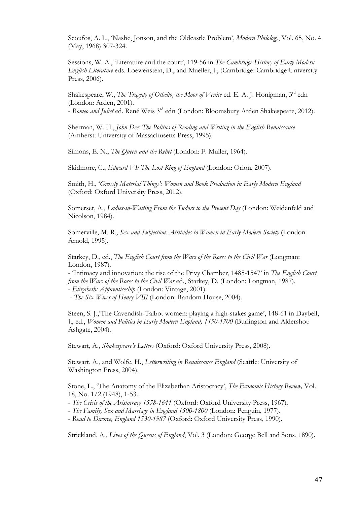Scoufos, A. L., 'Nashe, Jonson, and the Oldcastle Problem', *Modern Philology*, Vol. 65, No. 4 (May, 1968) 307-324.

Sessions, W. A., 'Literature and the court', 119-56 in *The Cambridge History of Early Modern English Literature* eds. Loewenstein, D., and Mueller, J., (Cambridge: Cambridge University Press, 2006).

Shakespeare, W., *The Tragedy of Othello, the Moor of Venice* ed. E. A. J. Honigman, 3<sup>rd</sup> edn (London: Arden, 2001).

- *Romeo and Juliet* ed. René Weis 3rd edn (London: Bloomsbury Arden Shakespeare, 2012).

Sherman, W. H., *John Dee: The Politics of Reading and Writing in the English Renaissance* (Amherst: University of Massachusetts Press, 1995).

Simons, E. N., *The Queen and the Rebel* (London: F. Muller, 1964).

Skidmore, C., *Edward VI: The Lost King of England* (London: Orion, 2007).

Smith, H., '*Grossly Material Things': Women and Book Production in Early Modern England* (Oxford: Oxford University Press, 2012).

Somerset, A., *Ladies-in-Waiting From the Tudors to the Present Day* (London: Weidenfeld and Nicolson, 1984).

Somerville, M. R., *Sex and Subjection: Attitudes to Women in Early-Modern Society* (London: Arnold, 1995).

Starkey, D., ed., *The English Court from the Wars of the Roses to the Civil War* (Longman: London, 1987).

- 'Intimacy and innovation: the rise of the Privy Chamber, 1485-1547' in *The English Court from the Wars of the Roses to the Civil War* ed., Starkey, D. (London: Longman, 1987). - *Elizabeth: Apprenticeship* (London: Vintage, 2001).

- *The Six Wives of Henry VIII* (London: Random House, 2004).

Steen, S. J.,'The Cavendish-Talbot women: playing a high-stakes game', 148-61 in Daybell, J., ed., *Women and Politics in Early Modern England, 1450-1700* (Burlington and Aldershot: Ashgate, 2004).

Stewart, A., *Shakespeare's Letters* (Oxford: Oxford University Press, 2008).

Stewart, A., and Wolfe, H., *Letterwriting in Renaissance England* (Seattle: University of Washington Press, 2004).

Stone, L., 'The Anatomy of the Elizabethan Aristocracy', *The Economic History Review,* Vol. 18, No. 1/2 (1948), 1-53.

- *The Crisis of the Aristocracy 1558-1641* (Oxford: Oxford University Press, 1967).
- *The Family, Sex and Marriage in England 1500-1800* (London: Penguin, 1977).
- *Road to Divorce, England 1530-1987* (Oxford: Oxford University Press, 1990).

Strickland, A., *Lives of the Queens of England*, Vol. 3 (London: George Bell and Sons, 1890).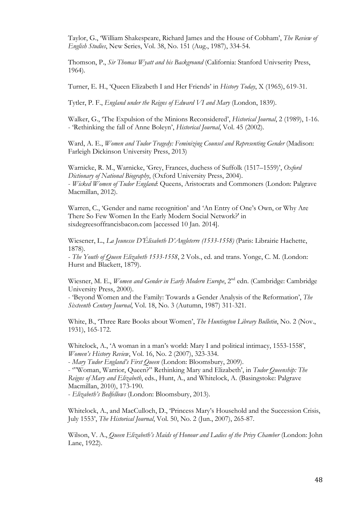Taylor, G., 'William Shakespeare, Richard James and the House of Cobham', *The Review of English Studies*, New Series, Vol. 38, No. 151 (Aug., 1987), 334-54.

Thomson, P., *Sir Thomas Wyatt and his Background* (California: Stanford Univserity Press, 1964).

Turner, E. H., 'Queen Elizabeth I and Her Friends' in *History Today*, X (1965), 619-31.

Tytler, P. F., *England under the Reigns of Edward VI and Mary* (London, 1839).

Walker, G., 'The Expulsion of the Minions Reconsidered', *Historical Journal*, 2 (1989), 1-16. - 'Rethinking the fall of Anne Boleyn', *Historical Journal*, Vol. 45 (2002).

Ward, A. E., *Women and Tudor Tragedy: Feminizing Counsel and Representing Gender* (Madison: Farleigh Dickinson University Press, 2013)

Warnicke, R. M., Warnicke, 'Grey, Frances, duchess of Suffolk (1517–1559)', *Oxford Dictionary of National Biography*, (Oxford University Press, 2004). - *Wicked Women of Tudor England*: Queens, Aristocrats and Commoners (London: Palgrave Macmillan, 2012).

Warren, C., 'Gender and name recognition' and 'An Entry of One's Own, or Why Are There So Few Women In the Early Modern Social Network?' in sixdegreesoffrancisbacon.com [accessed 10 Jan. 2014].

Wiesener, L., *La Jeunesse D'Élisabeth D'Angleterre (1533-1558)* (Paris: Librairie Hachette, 1878).

- *The Youth of Queen Elizabeth 1533-1558*, 2 Vols., ed. and trans. Yonge, C. M. (London: Hurst and Blackett, 1879).

Wiesner, M. E., *Women and Gender in Early Modern Europe*, 2<sup>nd</sup> edn. (Cambridge: Cambridge University Press, 2000).

- 'Beyond Women and the Family: Towards a Gender Analysis of the Reformation', *The Sixteenth Century Journal*, Vol. 18, No. 3 (Autumn, 1987) 311-321.

White, B., 'Three Rare Books about Women', *The Huntington Library Bulletin*, No. 2 (Nov., 1931), 165-172.

Whitelock, A., 'A woman in a man's world: Mary I and political intimacy, 1553-1558', *Women's History Review*, Vol. 16, No. 2 (2007), 323-334.

- *Mary Tudor England's First Queen* (London: Bloomsbury, 2009).

- '"Woman, Warrior, Queen?" Rethinking Mary and Elizabeth', in *Tudor Queenship: The Reigns of Mary and Elizabeth*, eds., Hunt, A., and Whitelock, A. (Basingstoke: Palgrave Macmillan, 2010), 173-190.

- *Elizabeth's Bedfellows* (London: Bloomsbury, 2013).

Whitelock, A., and MacCulloch, D., 'Princess Mary's Household and the Succession Crisis, July 1553', *The Historical Journal*, Vol. 50, No. 2 (Jun., 2007), 265-87.

Wilson, V. A., *Queen Elizabeth's Maids of Honour and Ladies of the Privy Chamber* (London: John Lane, 1922).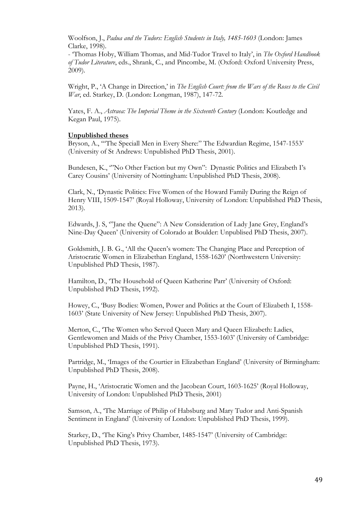Woolfson, J., *Padua and the Tudors: English Students in Italy, 1485-1603* (London: James Clarke, 1998).

- 'Thomas Hoby, William Thomas, and Mid-Tudor Travel to Italy', in *The Oxford Handbook of Tudor Literature*, eds., Shrank, C., and Pincombe, M. (Oxford: Oxford University Press, 2009).

Wright, P., 'A Change in Direction,' in *The English Court: from the Wars of the Roses to the Civil War*, ed. Starkey, D. (London: Longman, 1987), 147-72.

Yates, F. A., *Astraea: The Imperial Theme in the Sixteenth Century* (London: Koutledge and Kegan Paul, 1975).

#### **Unpublished theses**

Bryson, A., '"The Speciall Men in Every Shere:" The Edwardian Regime, 1547-1553' (University of St Andrews: Unpublished PhD Thesis, 2001).

Bundesen, K., '"No Other Faction but my Own": Dynastic Politics and Elizabeth I's Carey Cousins' (University of Nottingham: Unpublished PhD Thesis, 2008).

Clark, N., 'Dynastic Politics: Five Women of the Howard Family During the Reign of Henry VIII, 1509-1547' (Royal Holloway, University of London: Unpublished PhD Thesis, 2013).

Edwards, J. S, '"Jane the Quene": A New Consideration of Lady Jane Grey, England's Nine-Day Queen' (University of Colorado at Boulder: Unpublised PhD Thesis, 2007).

Goldsmith, J. B. G., 'All the Queen's women: The Changing Place and Perception of Aristocratic Women in Elizabethan England, 1558-1620' (Northwestern University: Unpublished PhD Thesis, 1987).

Hamilton, D., 'The Household of Queen Katherine Parr' (University of Oxford: Unpublished PhD Thesis, 1992).

Howey, C., 'Busy Bodies: Women, Power and Politics at the Court of Elizabeth I, 1558- 1603' (State University of New Jersey: Unpublished PhD Thesis, 2007).

Merton, C., 'The Women who Served Queen Mary and Queen Elizabeth: Ladies, Gentlewomen and Maids of the Privy Chamber, 1553-1603' (University of Cambridge: Unpublished PhD Thesis, 1991).

Partridge, M., 'Images of the Courtier in Elizabethan England' (University of Birmingham: Unpublished PhD Thesis, 2008).

Payne, H., 'Aristocratic Women and the Jacobean Court, 1603-1625' (Royal Holloway, University of London: Unpublished PhD Thesis, 2001)

Samson, A., 'The Marriage of Philip of Habsburg and Mary Tudor and Anti-Spanish Sentiment in England' (University of London: Unpublished PhD Thesis, 1999).

Starkey, D., 'The King's Privy Chamber, 1485-1547' (University of Cambridge: Unpublished PhD Thesis, 1973).